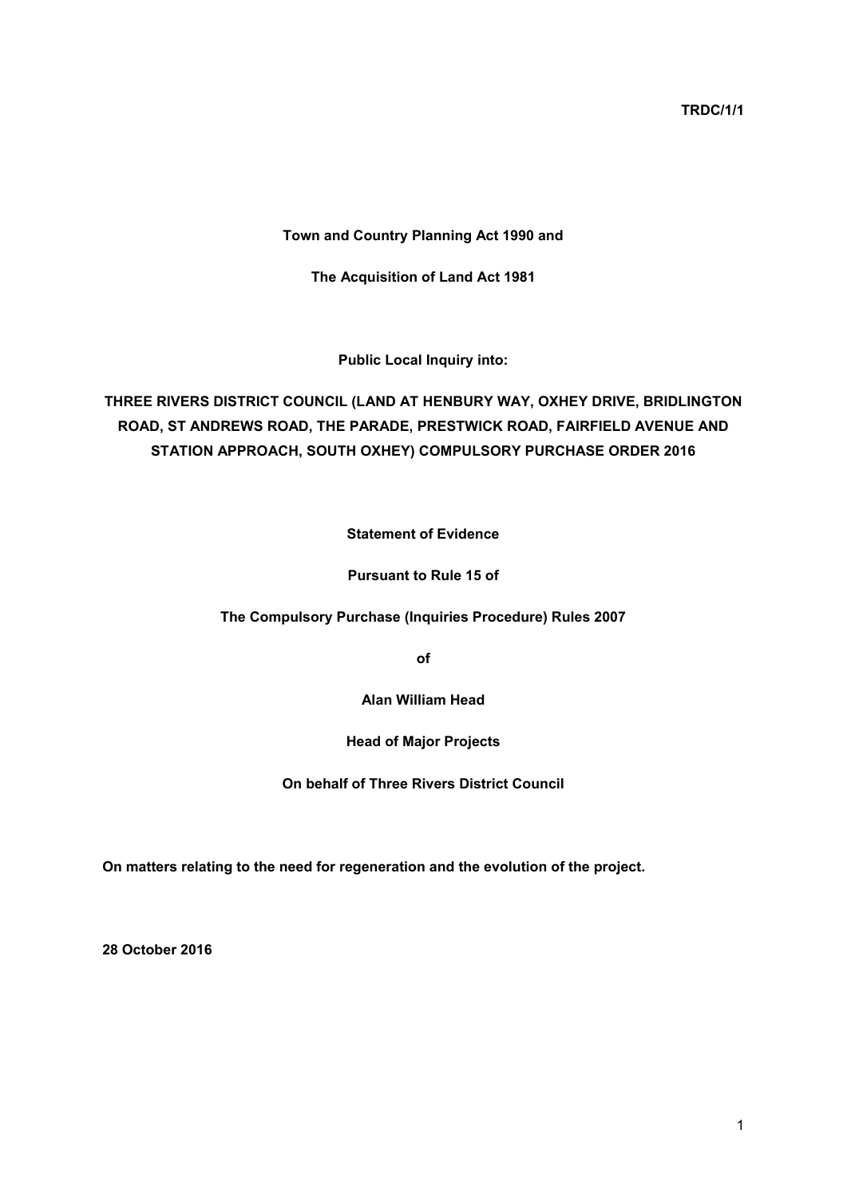**TRDC/1/1**

**Town and Country Planning Act 1990 and**

**The Acquisition of Land Act 1981**

**Public Local Inquiry into:**

**THREE RIVERS DISTRICT COUNCIL (LAND AT HENBURY WAY, OXHEY DRIVE, BRIDLINGTON ROAD, ST ANDREWS ROAD, THE PARADE, PRESTWICK ROAD, FAIRFIELD AVENUE AND STATION APPROACH, SOUTH OXHEY) COMPULSORY PURCHASE ORDER 2016**

**Statement of Evidence**

**Pursuant to Rule 15 of**

**The Compulsory Purchase (Inquiries Procedure) Rules 2007**

**of**

**Alan William Head**

**Head of Major Projects**

**On behalf of Three Rivers District Council**

**On matters relating to the need for regeneration and the evolution of the project.**

**28 October 2016**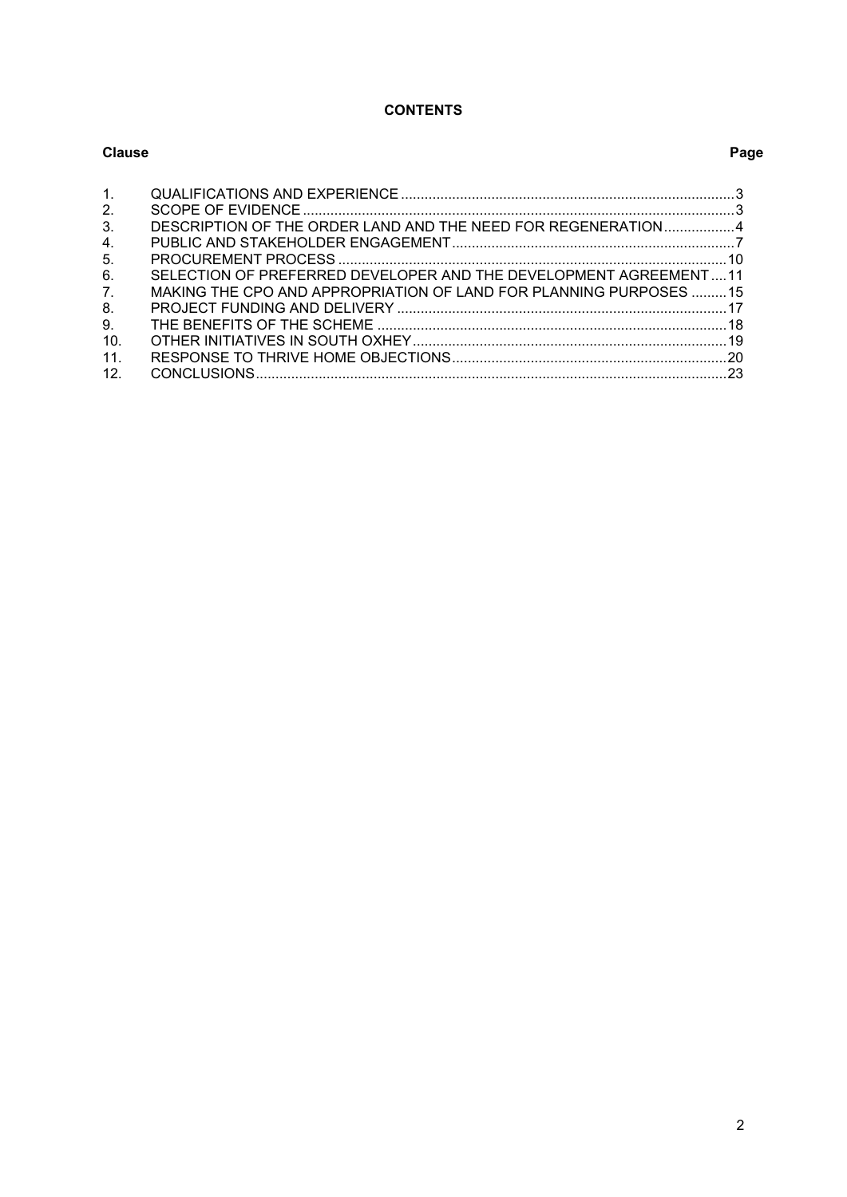# **CONTENTS**

| Clause         |                                                                   | Page |
|----------------|-------------------------------------------------------------------|------|
| $\mathbf{1}$ . |                                                                   |      |
| 2.             |                                                                   |      |
| 3.             | DESCRIPTION OF THE ORDER LAND AND THE NEED FOR REGENERATION4      |      |
| 4.             |                                                                   |      |
| 5.             |                                                                   |      |
| 6.             | SELECTION OF PREFERRED DEVELOPER AND THE DEVELOPMENT AGREEMENT11  |      |
| 7 <sub>1</sub> | MAKING THE CPO AND APPROPRIATION OF LAND FOR PLANNING PURPOSES 15 |      |
| 8.             |                                                                   |      |
| 9.             |                                                                   |      |
| 10.            |                                                                   |      |
| 11.            |                                                                   |      |
| 12.            |                                                                   |      |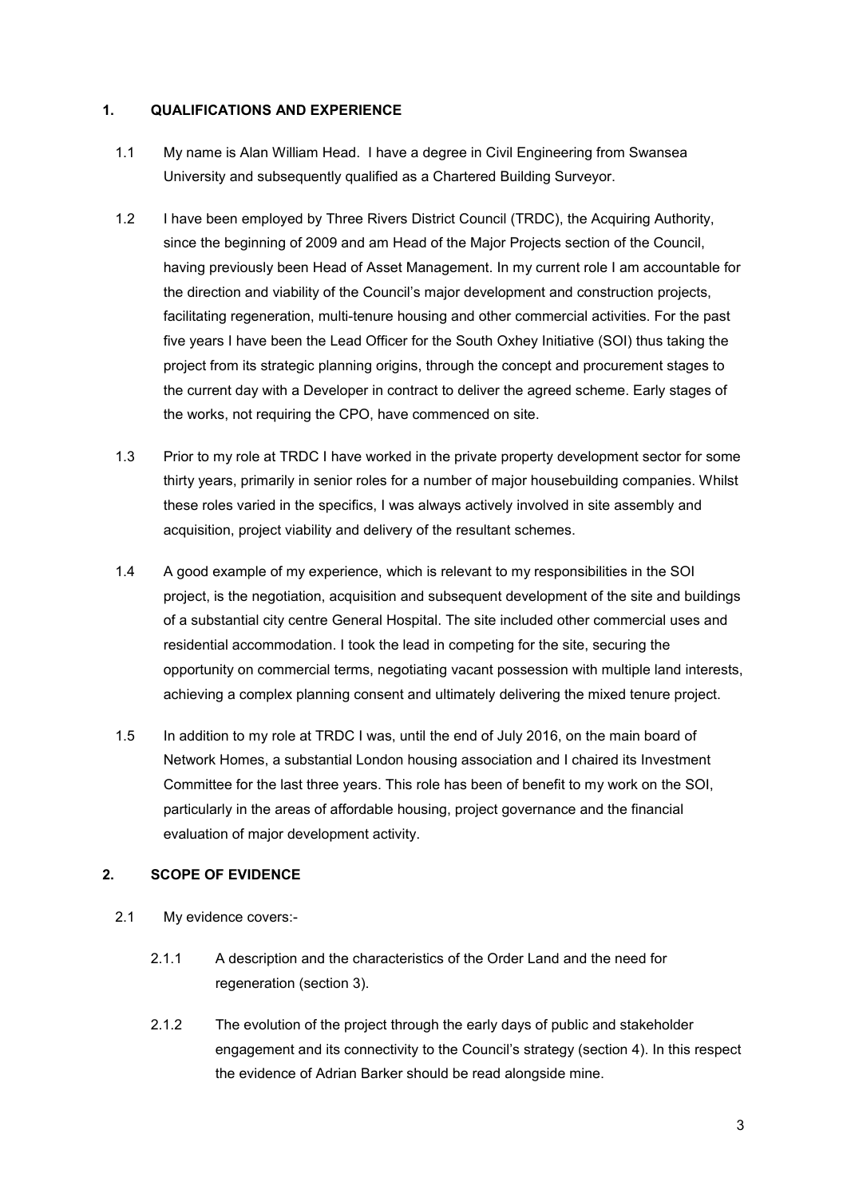## <span id="page-2-0"></span>**1. QUALIFICATIONS AND EXPERIENCE**

- 1.1 My name is Alan William Head. I have a degree in Civil Engineering from Swansea University and subsequently qualified as a Chartered Building Surveyor.
- 1.2 I have been employed by Three Rivers District Council (TRDC), the Acquiring Authority, since the beginning of 2009 and am Head of the Major Projects section of the Council, having previously been Head of Asset Management. In my current role I am accountable for the direction and viability of the Council's major development and construction projects, facilitating regeneration, multi-tenure housing and other commercial activities. For the past five years I have been the Lead Officer for the South Oxhey Initiative (SOI) thus taking the project from its strategic planning origins, through the concept and procurement stages to the current day with a Developer in contract to deliver the agreed scheme. Early stages of the works, not requiring the CPO, have commenced on site.
- 1.3 Prior to my role at TRDC I have worked in the private property development sector for some thirty years, primarily in senior roles for a number of major housebuilding companies. Whilst these roles varied in the specifics, I was always actively involved in site assembly and acquisition, project viability and delivery of the resultant schemes.
- 1.4 A good example of my experience, which is relevant to my responsibilities in the SOI project, is the negotiation, acquisition and subsequent development of the site and buildings of a substantial city centre General Hospital. The site included other commercial uses and residential accommodation. I took the lead in competing for the site, securing the opportunity on commercial terms, negotiating vacant possession with multiple land interests, achieving a complex planning consent and ultimately delivering the mixed tenure project.
- 1.5 In addition to my role at TRDC I was, until the end of July 2016, on the main board of Network Homes, a substantial London housing association and I chaired its Investment Committee for the last three years. This role has been of benefit to my work on the SOI, particularly in the areas of affordable housing, project governance and the financial evaluation of major development activity.

## <span id="page-2-1"></span>**2. SCOPE OF EVIDENCE**

- 2.1 My evidence covers:-
	- 2.1.1 A description and the characteristics of the Order Land and the need for regeneration (section 3).
	- 2.1.2 The evolution of the project through the early days of public and stakeholder engagement and its connectivity to the Council's strategy (section 4). In this respect the evidence of Adrian Barker should be read alongside mine.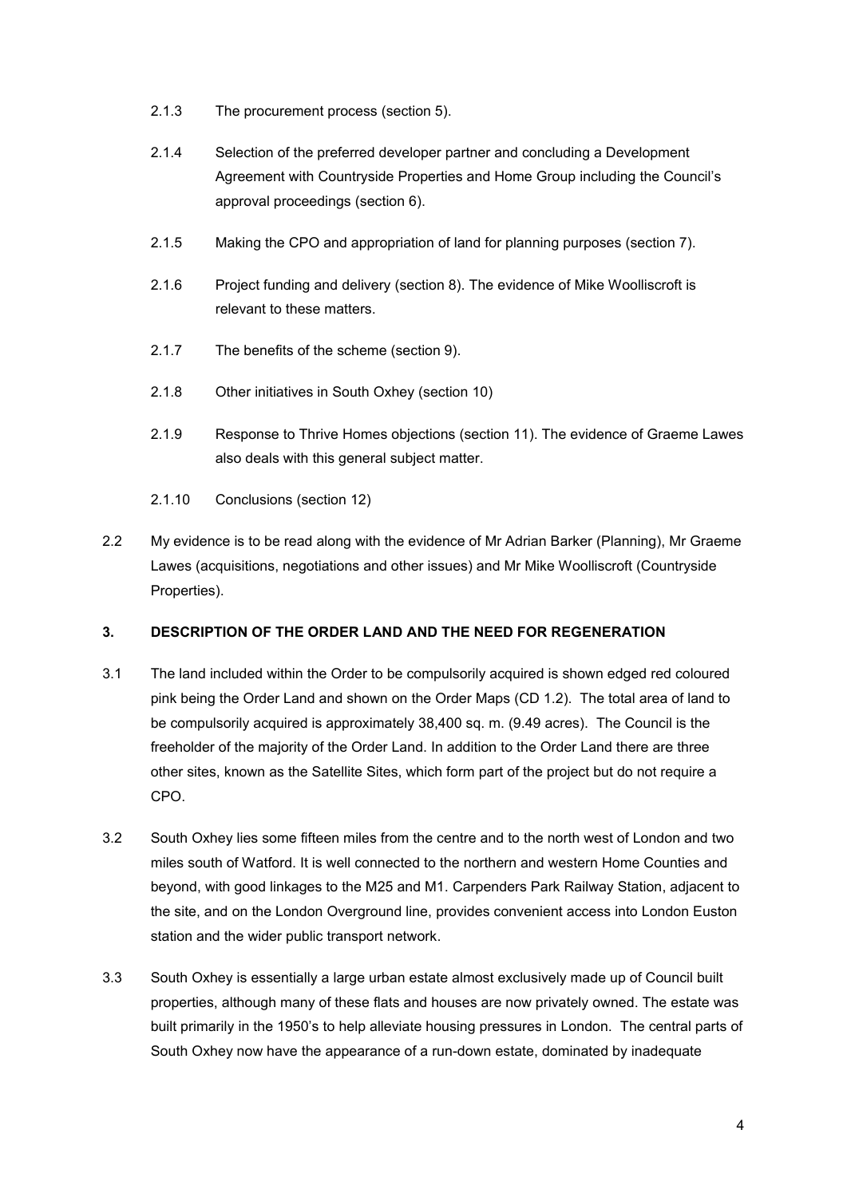- 2.1.3 The procurement process (section 5).
- 2.1.4 Selection of the preferred developer partner and concluding a Development Agreement with Countryside Properties and Home Group including the Council's approval proceedings (section 6).
- 2.1.5 Making the CPO and appropriation of land for planning purposes (section 7).
- 2.1.6 Project funding and delivery (section 8). The evidence of Mike Woolliscroft is relevant to these matters.
- 2.1.7 The benefits of the scheme (section 9).
- 2.1.8 Other initiatives in South Oxhey (section 10)
- 2.1.9 Response to Thrive Homes objections (section 11). The evidence of Graeme Lawes also deals with this general subject matter.
- 2.1.10 Conclusions (section 12)
- 2.2 My evidence is to be read along with the evidence of Mr Adrian Barker (Planning), Mr Graeme Lawes (acquisitions, negotiations and other issues) and Mr Mike Woolliscroft (Countryside Properties).

## <span id="page-3-0"></span>**3. DESCRIPTION OF THE ORDER LAND AND THE NEED FOR REGENERATION**

- 3.1 The land included within the Order to be compulsorily acquired is shown edged red coloured pink being the Order Land and shown on the Order Maps (CD 1.2). The total area of land to be compulsorily acquired is approximately 38,400 sq. m. (9.49 acres). The Council is the freeholder of the majority of the Order Land. In addition to the Order Land there are three other sites, known as the Satellite Sites, which form part of the project but do not require a CPO.
- 3.2 South Oxhey lies some fifteen miles from the centre and to the north west of London and two miles south of Watford. It is well connected to the northern and western Home Counties and beyond, with good linkages to the M25 and M1. Carpenders Park Railway Station, adjacent to the site, and on the London Overground line, provides convenient access into London Euston station and the wider public transport network.
- 3.3 South Oxhey is essentially a large urban estate almost exclusively made up of Council built properties, although many of these flats and houses are now privately owned. The estate was built primarily in the 1950's to help alleviate housing pressures in London. The central parts of South Oxhey now have the appearance of a run-down estate, dominated by inadequate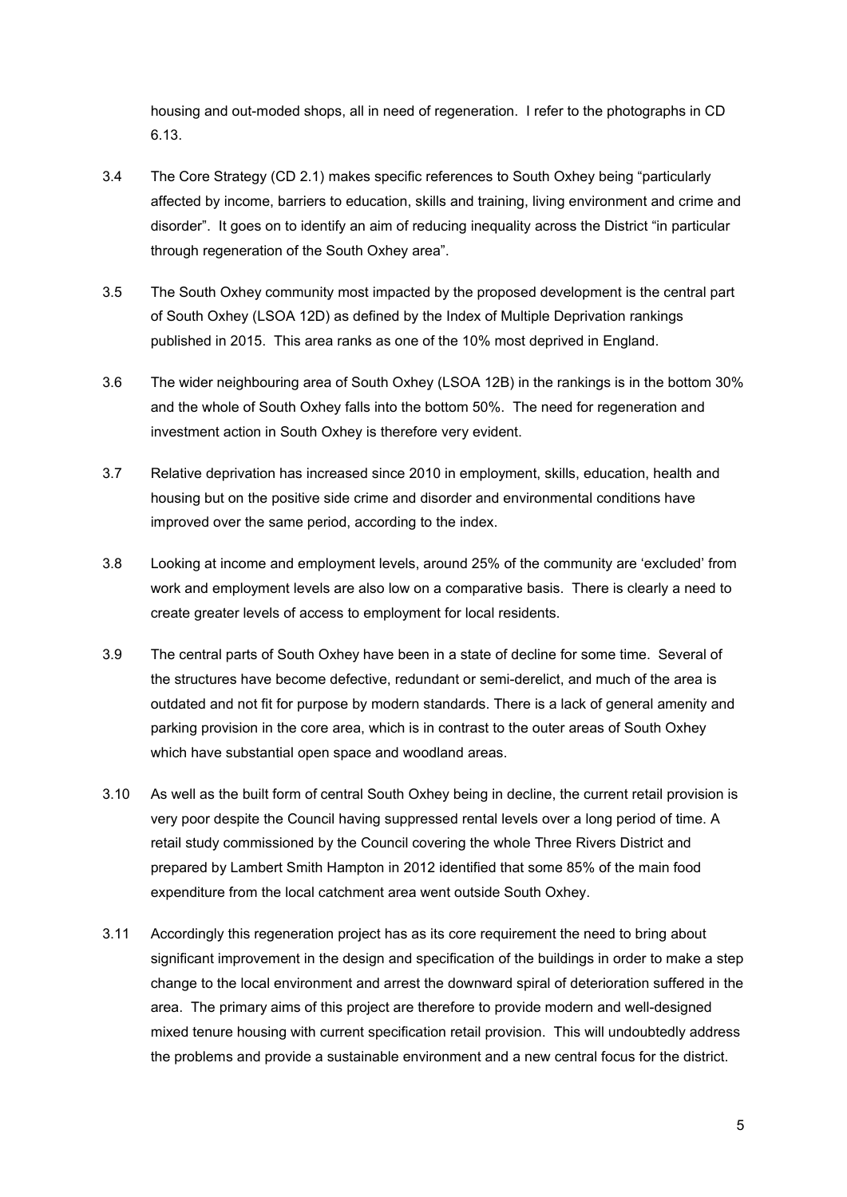housing and out-moded shops, all in need of regeneration. I refer to the photographs in CD 6.13.

- 3.4 The Core Strategy (CD 2.1) makes specific references to South Oxhey being "particularly affected by income, barriers to education, skills and training, living environment and crime and disorder". It goes on to identify an aim of reducing inequality across the District "in particular through regeneration of the South Oxhey area".
- 3.5 The South Oxhey community most impacted by the proposed development is the central part of South Oxhey (LSOA 12D) as defined by the Index of Multiple Deprivation rankings published in 2015. This area ranks as one of the 10% most deprived in England.
- 3.6 The wider neighbouring area of South Oxhey (LSOA 12B) in the rankings is in the bottom 30% and the whole of South Oxhey falls into the bottom 50%. The need for regeneration and investment action in South Oxhey is therefore very evident.
- 3.7 Relative deprivation has increased since 2010 in employment, skills, education, health and housing but on the positive side crime and disorder and environmental conditions have improved over the same period, according to the index.
- 3.8 Looking at income and employment levels, around 25% of the community are 'excluded' from work and employment levels are also low on a comparative basis. There is clearly a need to create greater levels of access to employment for local residents.
- 3.9 The central parts of South Oxhey have been in a state of decline for some time. Several of the structures have become defective, redundant or semi-derelict, and much of the area is outdated and not fit for purpose by modern standards. There is a lack of general amenity and parking provision in the core area, which is in contrast to the outer areas of South Oxhey which have substantial open space and woodland areas.
- 3.10 As well as the built form of central South Oxhey being in decline, the current retail provision is very poor despite the Council having suppressed rental levels over a long period of time. A retail study commissioned by the Council covering the whole Three Rivers District and prepared by Lambert Smith Hampton in 2012 identified that some 85% of the main food expenditure from the local catchment area went outside South Oxhey.
- 3.11 Accordingly this regeneration project has as its core requirement the need to bring about significant improvement in the design and specification of the buildings in order to make a step change to the local environment and arrest the downward spiral of deterioration suffered in the area. The primary aims of this project are therefore to provide modern and well-designed mixed tenure housing with current specification retail provision. This will undoubtedly address the problems and provide a sustainable environment and a new central focus for the district.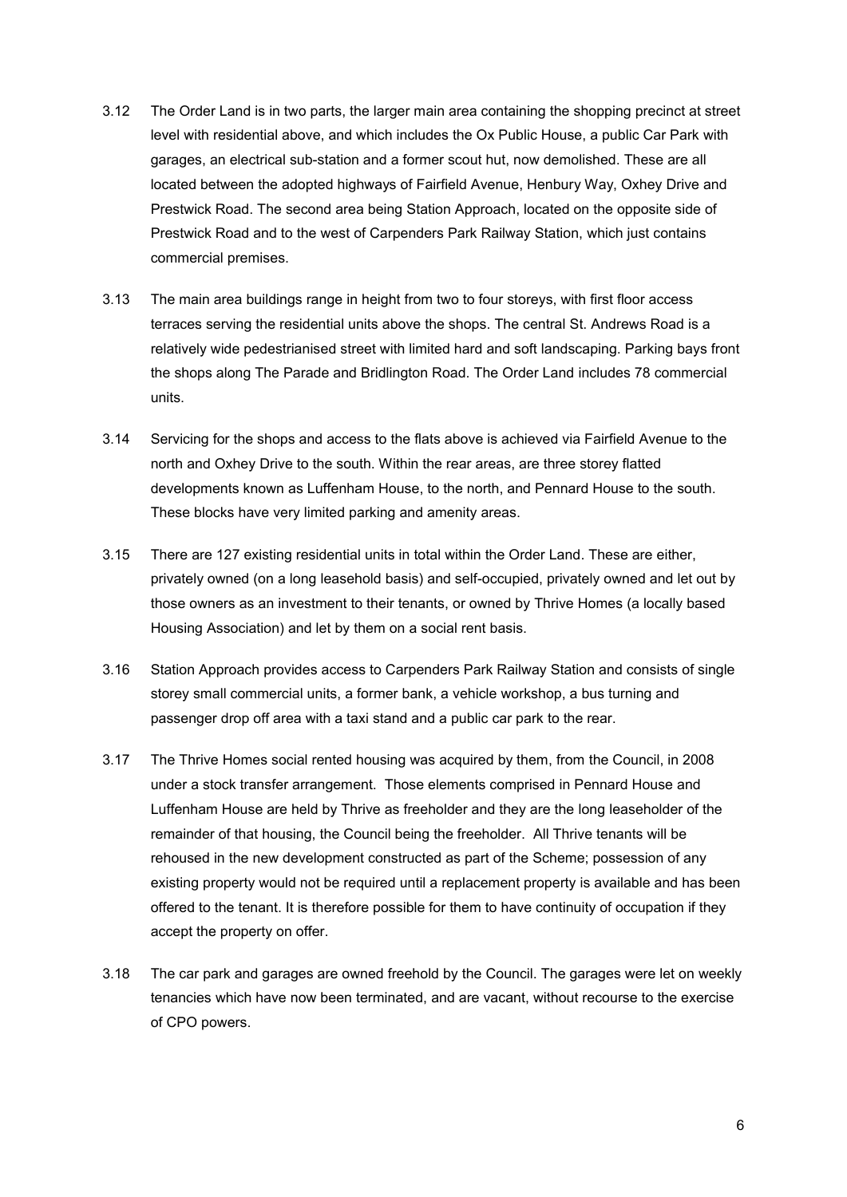- 3.12 The Order Land is in two parts, the larger main area containing the shopping precinct at street level with residential above, and which includes the Ox Public House, a public Car Park with garages, an electrical sub-station and a former scout hut, now demolished. These are all located between the adopted highways of Fairfield Avenue, Henbury Way, Oxhey Drive and Prestwick Road. The second area being Station Approach, located on the opposite side of Prestwick Road and to the west of Carpenders Park Railway Station, which just contains commercial premises.
- 3.13 The main area buildings range in height from two to four storeys, with first floor access terraces serving the residential units above the shops. The central St. Andrews Road is a relatively wide pedestrianised street with limited hard and soft landscaping. Parking bays front the shops along The Parade and Bridlington Road. The Order Land includes 78 commercial units.
- 3.14 Servicing for the shops and access to the flats above is achieved via Fairfield Avenue to the north and Oxhey Drive to the south. Within the rear areas, are three storey flatted developments known as Luffenham House, to the north, and Pennard House to the south. These blocks have very limited parking and amenity areas.
- 3.15 There are 127 existing residential units in total within the Order Land. These are either, privately owned (on a long leasehold basis) and self-occupied, privately owned and let out by those owners as an investment to their tenants, or owned by Thrive Homes (a locally based Housing Association) and let by them on a social rent basis.
- 3.16 Station Approach provides access to Carpenders Park Railway Station and consists of single storey small commercial units, a former bank, a vehicle workshop, a bus turning and passenger drop off area with a taxi stand and a public car park to the rear.
- 3.17 The Thrive Homes social rented housing was acquired by them, from the Council, in 2008 under a stock transfer arrangement. Those elements comprised in Pennard House and Luffenham House are held by Thrive as freeholder and they are the long leaseholder of the remainder of that housing, the Council being the freeholder. All Thrive tenants will be rehoused in the new development constructed as part of the Scheme; possession of any existing property would not be required until a replacement property is available and has been offered to the tenant. It is therefore possible for them to have continuity of occupation if they accept the property on offer.
- 3.18 The car park and garages are owned freehold by the Council. The garages were let on weekly tenancies which have now been terminated, and are vacant, without recourse to the exercise of CPO powers.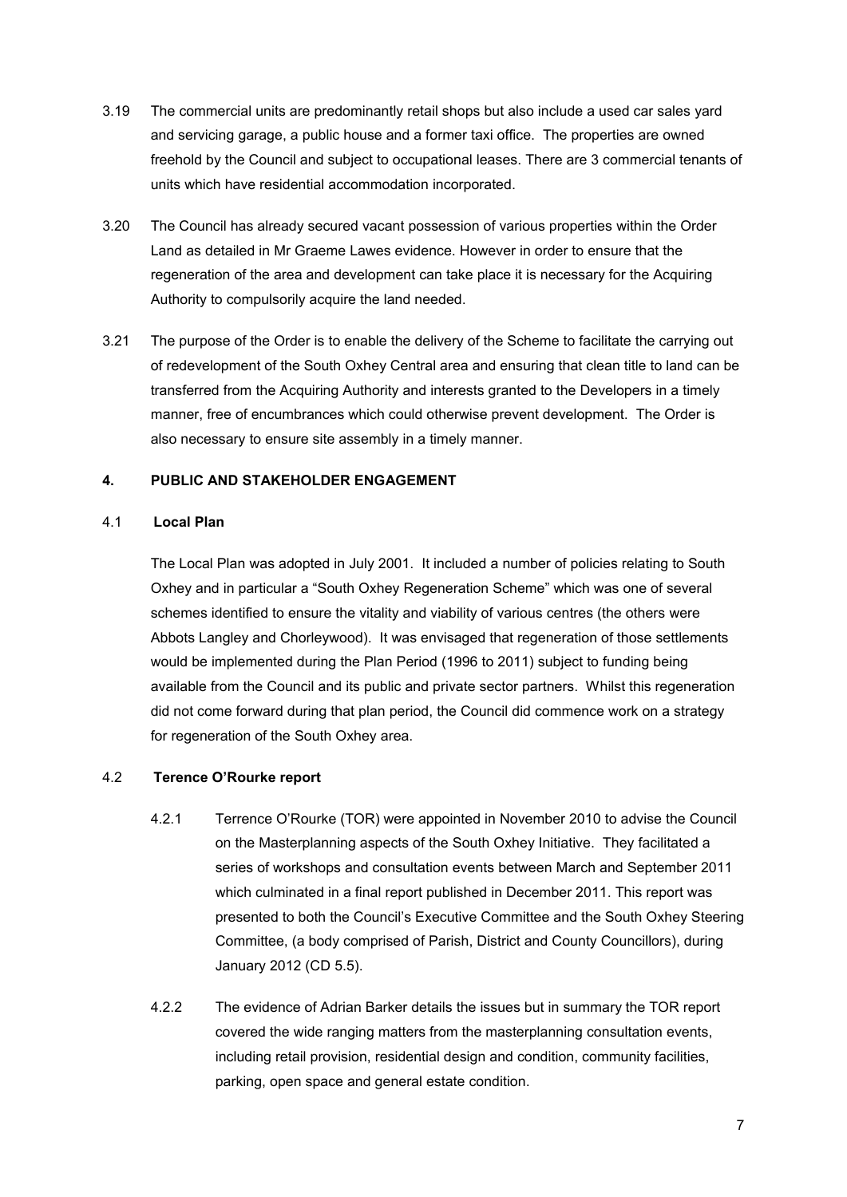- 3.19 The commercial units are predominantly retail shops but also include a used car sales yard and servicing garage, a public house and a former taxi office. The properties are owned freehold by the Council and subject to occupational leases. There are 3 commercial tenants of units which have residential accommodation incorporated.
- 3.20 The Council has already secured vacant possession of various properties within the Order Land as detailed in Mr Graeme Lawes evidence. However in order to ensure that the regeneration of the area and development can take place it is necessary for the Acquiring Authority to compulsorily acquire the land needed.
- 3.21 The purpose of the Order is to enable the delivery of the Scheme to facilitate the carrying out of redevelopment of the South Oxhey Central area and ensuring that clean title to land can be transferred from the Acquiring Authority and interests granted to the Developers in a timely manner, free of encumbrances which could otherwise prevent development. The Order is also necessary to ensure site assembly in a timely manner.

## <span id="page-6-0"></span>**4. PUBLIC AND STAKEHOLDER ENGAGEMENT**

#### 4.1 **Local Plan**

The Local Plan was adopted in July 2001. It included a number of policies relating to South Oxhey and in particular a "South Oxhey Regeneration Scheme" which was one of several schemes identified to ensure the vitality and viability of various centres (the others were Abbots Langley and Chorleywood). It was envisaged that regeneration of those settlements would be implemented during the Plan Period (1996 to 2011) subject to funding being available from the Council and its public and private sector partners. Whilst this regeneration did not come forward during that plan period, the Council did commence work on a strategy for regeneration of the South Oxhey area.

#### 4.2 **Terence O'Rourke report**

- 4.2.1 Terrence O'Rourke (TOR) were appointed in November 2010 to advise the Council on the Masterplanning aspects of the South Oxhey Initiative. They facilitated a series of workshops and consultation events between March and September 2011 which culminated in a final report published in December 2011. This report was presented to both the Council's Executive Committee and the South Oxhey Steering Committee, (a body comprised of Parish, District and County Councillors), during January 2012 (CD 5.5).
- 4.2.2 The evidence of Adrian Barker details the issues but in summary the TOR report covered the wide ranging matters from the masterplanning consultation events, including retail provision, residential design and condition, community facilities, parking, open space and general estate condition.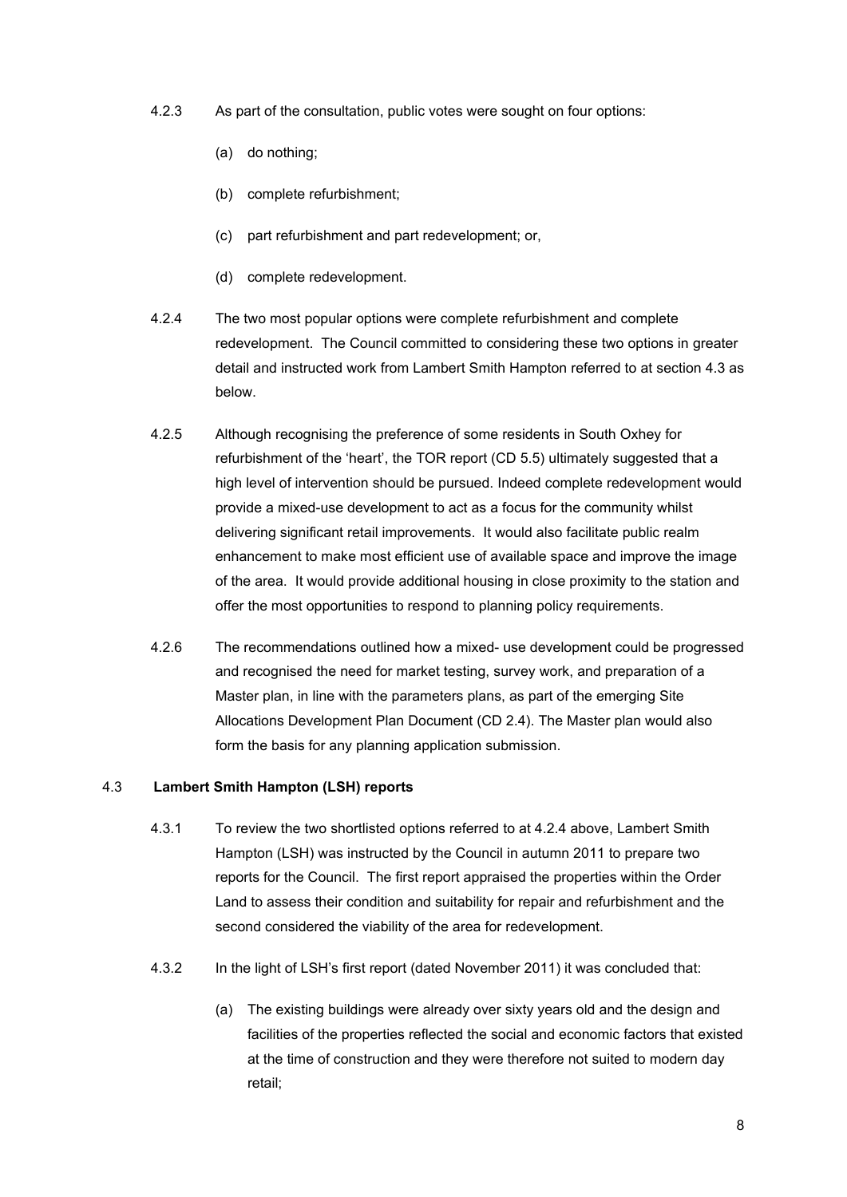- 4.2.3 As part of the consultation, public votes were sought on four options:
	- (a) do nothing;
	- (b) complete refurbishment;
	- (c) part refurbishment and part redevelopment; or,
	- (d) complete redevelopment.
- 4.2.4 The two most popular options were complete refurbishment and complete redevelopment. The Council committed to considering these two options in greater detail and instructed work from Lambert Smith Hampton referred to at section 4.3 as below.
- 4.2.5 Although recognising the preference of some residents in South Oxhey for refurbishment of the 'heart', the TOR report (CD 5.5) ultimately suggested that a high level of intervention should be pursued. Indeed complete redevelopment would provide a mixed-use development to act as a focus for the community whilst delivering significant retail improvements. It would also facilitate public realm enhancement to make most efficient use of available space and improve the image of the area. It would provide additional housing in close proximity to the station and offer the most opportunities to respond to planning policy requirements.
- 4.2.6 The recommendations outlined how a mixed- use development could be progressed and recognised the need for market testing, survey work, and preparation of a Master plan, in line with the parameters plans, as part of the emerging Site Allocations Development Plan Document (CD 2.4). The Master plan would also form the basis for any planning application submission.

#### 4.3 **Lambert Smith Hampton (LSH) reports**

- 4.3.1 To review the two shortlisted options referred to at 4.2.4 above, Lambert Smith Hampton (LSH) was instructed by the Council in autumn 2011 to prepare two reports for the Council. The first report appraised the properties within the Order Land to assess their condition and suitability for repair and refurbishment and the second considered the viability of the area for redevelopment.
- 4.3.2 In the light of LSH's first report (dated November 2011) it was concluded that:
	- (a) The existing buildings were already over sixty years old and the design and facilities of the properties reflected the social and economic factors that existed at the time of construction and they were therefore not suited to modern day retail;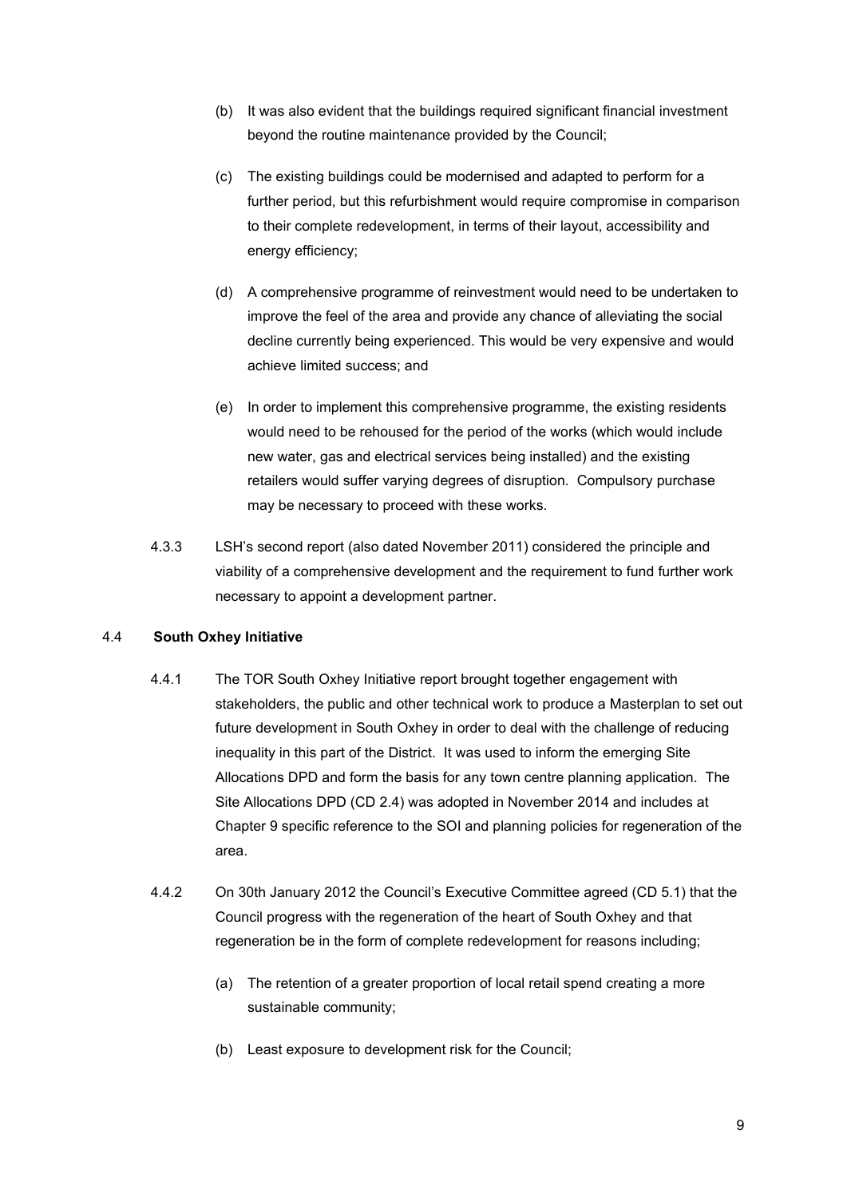- (b) It was also evident that the buildings required significant financial investment beyond the routine maintenance provided by the Council;
- (c) The existing buildings could be modernised and adapted to perform for a further period, but this refurbishment would require compromise in comparison to their complete redevelopment, in terms of their layout, accessibility and energy efficiency;
- (d) A comprehensive programme of reinvestment would need to be undertaken to improve the feel of the area and provide any chance of alleviating the social decline currently being experienced. This would be very expensive and would achieve limited success; and
- (e) In order to implement this comprehensive programme, the existing residents would need to be rehoused for the period of the works (which would include new water, gas and electrical services being installed) and the existing retailers would suffer varying degrees of disruption. Compulsory purchase may be necessary to proceed with these works.
- 4.3.3 LSH's second report (also dated November 2011) considered the principle and viability of a comprehensive development and the requirement to fund further work necessary to appoint a development partner.

#### 4.4 **South Oxhey Initiative**

- 4.4.1 The TOR South Oxhey Initiative report brought together engagement with stakeholders, the public and other technical work to produce a Masterplan to set out future development in South Oxhey in order to deal with the challenge of reducing inequality in this part of the District. It was used to inform the emerging Site Allocations DPD and form the basis for any town centre planning application. The Site Allocations DPD (CD 2.4) was adopted in November 2014 and includes at Chapter 9 specific reference to the SOI and planning policies for regeneration of the area.
- 4.4.2 On 30th January 2012 the Council's Executive Committee agreed (CD 5.1) that the Council progress with the regeneration of the heart of South Oxhey and that regeneration be in the form of complete redevelopment for reasons including;
	- (a) The retention of a greater proportion of local retail spend creating a more sustainable community;
	- (b) Least exposure to development risk for the Council;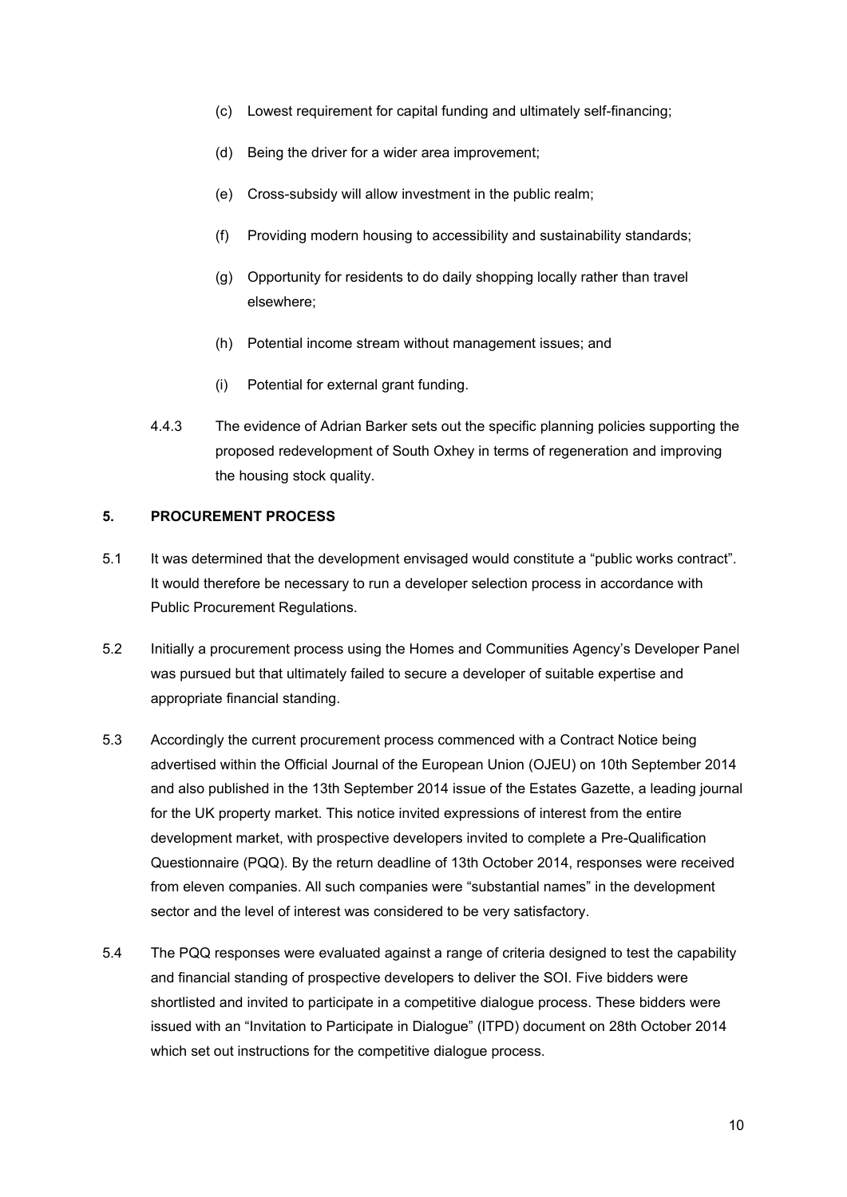- (c) Lowest requirement for capital funding and ultimately self-financing;
- (d) Being the driver for a wider area improvement;
- (e) Cross-subsidy will allow investment in the public realm;
- (f) Providing modern housing to accessibility and sustainability standards;
- (g) Opportunity for residents to do daily shopping locally rather than travel elsewhere;
- (h) Potential income stream without management issues; and
- (i) Potential for external grant funding.
- 4.4.3 The evidence of Adrian Barker sets out the specific planning policies supporting the proposed redevelopment of South Oxhey in terms of regeneration and improving the housing stock quality.

#### <span id="page-9-0"></span>**5. PROCUREMENT PROCESS**

- 5.1 It was determined that the development envisaged would constitute a "public works contract". It would therefore be necessary to run a developer selection process in accordance with Public Procurement Regulations.
- 5.2 Initially a procurement process using the Homes and Communities Agency's Developer Panel was pursued but that ultimately failed to secure a developer of suitable expertise and appropriate financial standing.
- 5.3 Accordingly the current procurement process commenced with a Contract Notice being advertised within the Official Journal of the European Union (OJEU) on 10th September 2014 and also published in the 13th September 2014 issue of the Estates Gazette, a leading journal for the UK property market. This notice invited expressions of interest from the entire development market, with prospective developers invited to complete a Pre-Qualification Questionnaire (PQQ). By the return deadline of 13th October 2014, responses were received from eleven companies. All such companies were "substantial names" in the development sector and the level of interest was considered to be very satisfactory.
- 5.4 The PQQ responses were evaluated against a range of criteria designed to test the capability and financial standing of prospective developers to deliver the SOI. Five bidders were shortlisted and invited to participate in a competitive dialogue process. These bidders were issued with an "Invitation to Participate in Dialogue" (ITPD) document on 28th October 2014 which set out instructions for the competitive dialogue process.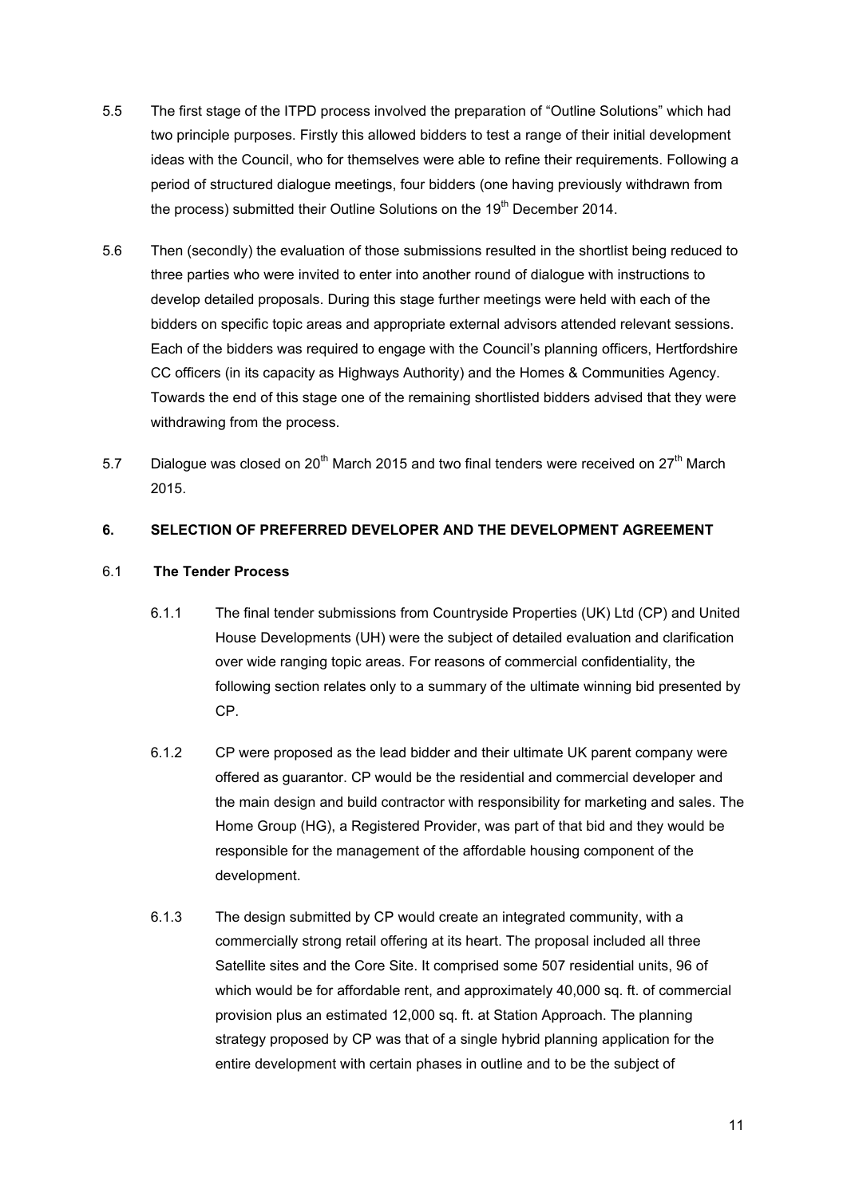- 5.5 The first stage of the ITPD process involved the preparation of "Outline Solutions" which had two principle purposes. Firstly this allowed bidders to test a range of their initial development ideas with the Council, who for themselves were able to refine their requirements. Following a period of structured dialogue meetings, four bidders (one having previously withdrawn from the process) submitted their Outline Solutions on the 19<sup>th</sup> December 2014.
- 5.6 Then (secondly) the evaluation of those submissions resulted in the shortlist being reduced to three parties who were invited to enter into another round of dialogue with instructions to develop detailed proposals. During this stage further meetings were held with each of the bidders on specific topic areas and appropriate external advisors attended relevant sessions. Each of the bidders was required to engage with the Council's planning officers, Hertfordshire CC officers (in its capacity as Highways Authority) and the Homes & Communities Agency. Towards the end of this stage one of the remaining shortlisted bidders advised that they were withdrawing from the process.
- 5.7 Dialogue was closed on 20<sup>th</sup> March 2015 and two final tenders were received on  $27<sup>th</sup>$  March 2015.

## <span id="page-10-0"></span>**6. SELECTION OF PREFERRED DEVELOPER AND THE DEVELOPMENT AGREEMENT**

## 6.1 **The Tender Process**

- 6.1.1 The final tender submissions from Countryside Properties (UK) Ltd (CP) and United House Developments (UH) were the subject of detailed evaluation and clarification over wide ranging topic areas. For reasons of commercial confidentiality, the following section relates only to a summary of the ultimate winning bid presented by CP.
- 6.1.2 CP were proposed as the lead bidder and their ultimate UK parent company were offered as guarantor. CP would be the residential and commercial developer and the main design and build contractor with responsibility for marketing and sales. The Home Group (HG), a Registered Provider, was part of that bid and they would be responsible for the management of the affordable housing component of the development.
- 6.1.3 The design submitted by CP would create an integrated community, with a commercially strong retail offering at its heart. The proposal included all three Satellite sites and the Core Site. It comprised some 507 residential units, 96 of which would be for affordable rent, and approximately 40,000 sq. ft. of commercial provision plus an estimated 12,000 sq. ft. at Station Approach. The planning strategy proposed by CP was that of a single hybrid planning application for the entire development with certain phases in outline and to be the subject of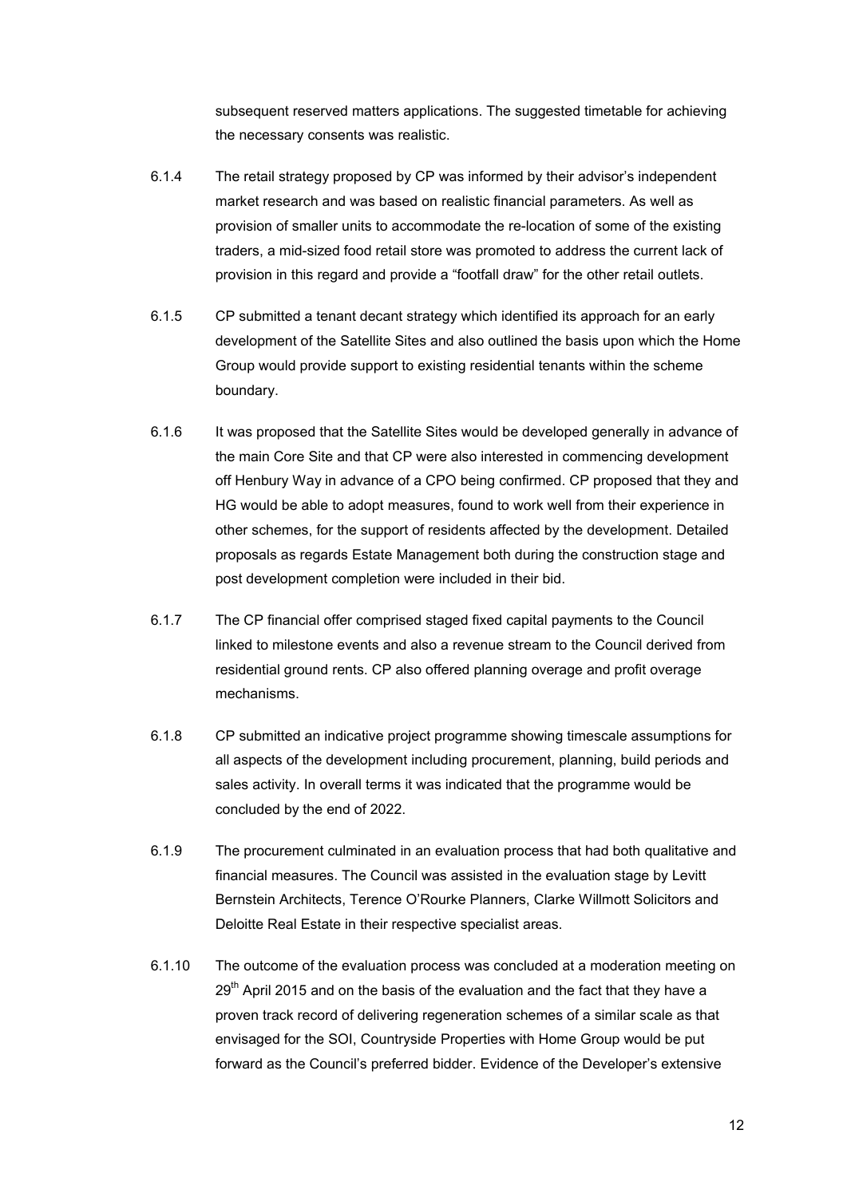subsequent reserved matters applications. The suggested timetable for achieving the necessary consents was realistic.

- 6.1.4 The retail strategy proposed by CP was informed by their advisor's independent market research and was based on realistic financial parameters. As well as provision of smaller units to accommodate the re-location of some of the existing traders, a mid-sized food retail store was promoted to address the current lack of provision in this regard and provide a "footfall draw" for the other retail outlets.
- 6.1.5 CP submitted a tenant decant strategy which identified its approach for an early development of the Satellite Sites and also outlined the basis upon which the Home Group would provide support to existing residential tenants within the scheme boundary.
- 6.1.6 It was proposed that the Satellite Sites would be developed generally in advance of the main Core Site and that CP were also interested in commencing development off Henbury Way in advance of a CPO being confirmed. CP proposed that they and HG would be able to adopt measures, found to work well from their experience in other schemes, for the support of residents affected by the development. Detailed proposals as regards Estate Management both during the construction stage and post development completion were included in their bid.
- 6.1.7 The CP financial offer comprised staged fixed capital payments to the Council linked to milestone events and also a revenue stream to the Council derived from residential ground rents. CP also offered planning overage and profit overage mechanisms.
- 6.1.8 CP submitted an indicative project programme showing timescale assumptions for all aspects of the development including procurement, planning, build periods and sales activity. In overall terms it was indicated that the programme would be concluded by the end of 2022.
- 6.1.9 The procurement culminated in an evaluation process that had both qualitative and financial measures. The Council was assisted in the evaluation stage by Levitt Bernstein Architects, Terence O'Rourke Planners, Clarke Willmott Solicitors and Deloitte Real Estate in their respective specialist areas.
- 6.1.10 The outcome of the evaluation process was concluded at a moderation meeting on  $29<sup>th</sup>$  April 2015 and on the basis of the evaluation and the fact that they have a proven track record of delivering regeneration schemes of a similar scale as that envisaged for the SOI, Countryside Properties with Home Group would be put forward as the Council's preferred bidder. Evidence of the Developer's extensive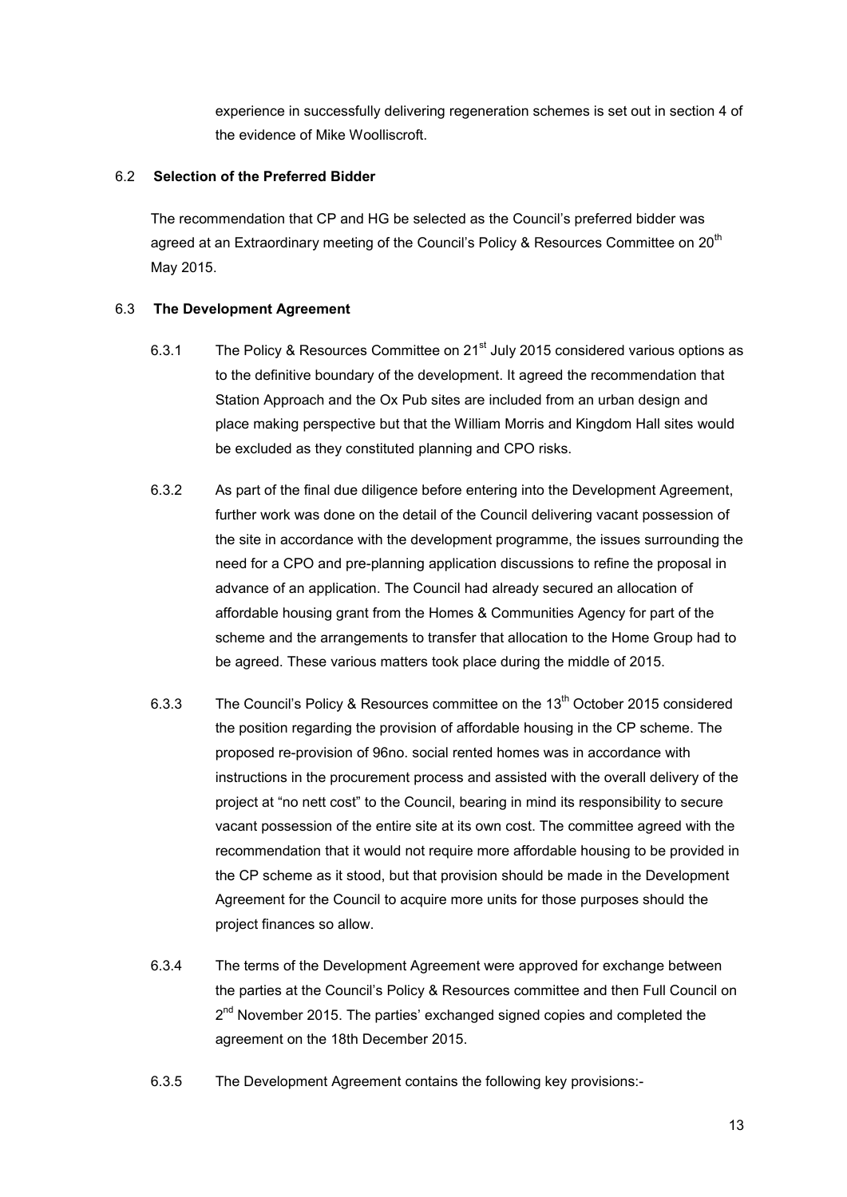experience in successfully delivering regeneration schemes is set out in section 4 of the evidence of Mike Woolliscroft.

#### 6.2 **Selection of the Preferred Bidder**

The recommendation that CP and HG be selected as the Council's preferred bidder was agreed at an Extraordinary meeting of the Council's Policy & Resources Committee on 20<sup>th</sup> May 2015.

## 6.3 **The Development Agreement**

- 6.3.1 The Policy & Resources Committee on 21<sup>st</sup> July 2015 considered various options as to the definitive boundary of the development. It agreed the recommendation that Station Approach and the Ox Pub sites are included from an urban design and place making perspective but that the William Morris and Kingdom Hall sites would be excluded as they constituted planning and CPO risks.
- 6.3.2 As part of the final due diligence before entering into the Development Agreement, further work was done on the detail of the Council delivering vacant possession of the site in accordance with the development programme, the issues surrounding the need for a CPO and pre-planning application discussions to refine the proposal in advance of an application. The Council had already secured an allocation of affordable housing grant from the Homes & Communities Agency for part of the scheme and the arrangements to transfer that allocation to the Home Group had to be agreed. These various matters took place during the middle of 2015.
- 6.3.3 The Council's Policy & Resources committee on the 13<sup>th</sup> October 2015 considered the position regarding the provision of affordable housing in the CP scheme. The proposed re-provision of 96no. social rented homes was in accordance with instructions in the procurement process and assisted with the overall delivery of the project at "no nett cost" to the Council, bearing in mind its responsibility to secure vacant possession of the entire site at its own cost. The committee agreed with the recommendation that it would not require more affordable housing to be provided in the CP scheme as it stood, but that provision should be made in the Development Agreement for the Council to acquire more units for those purposes should the project finances so allow.
- 6.3.4 The terms of the Development Agreement were approved for exchange between the parties at the Council's Policy & Resources committee and then Full Council on 2<sup>nd</sup> November 2015. The parties' exchanged signed copies and completed the agreement on the 18th December 2015.
- 6.3.5 The Development Agreement contains the following key provisions:-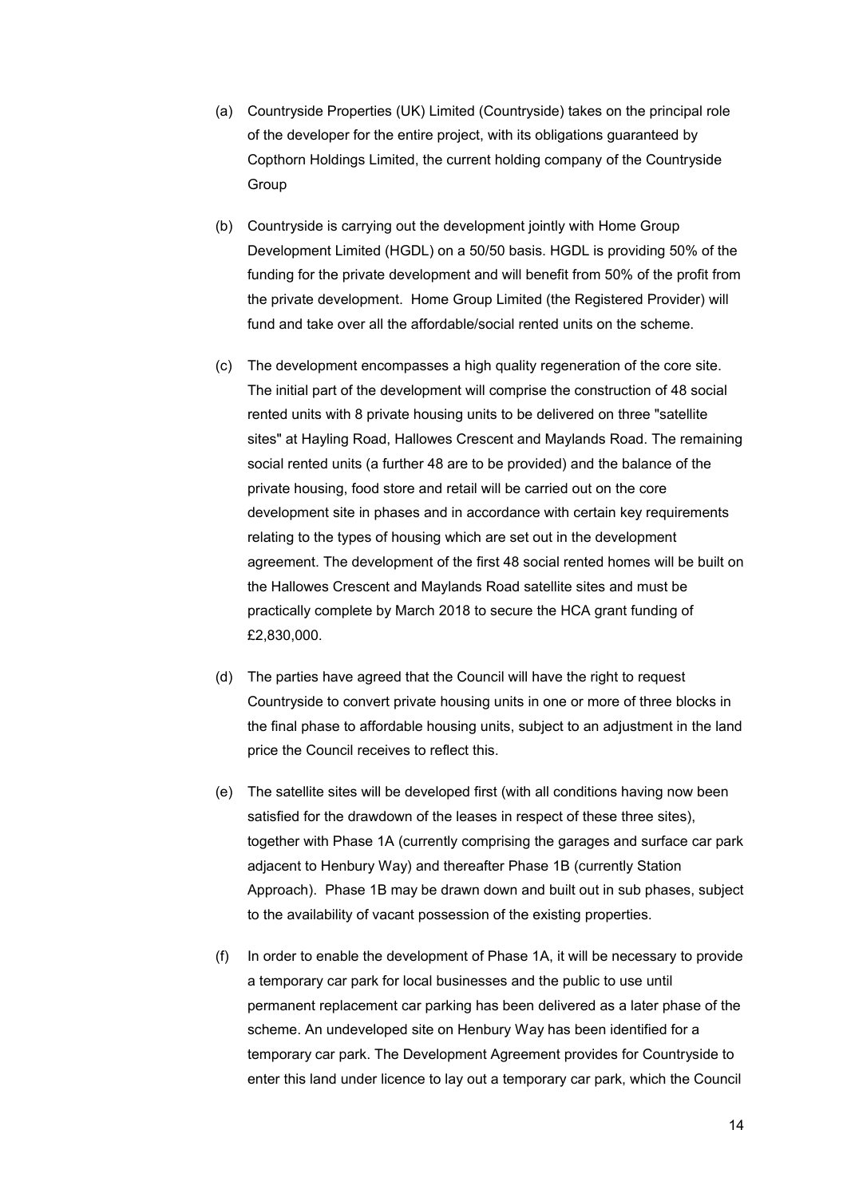- (a) Countryside Properties (UK) Limited (Countryside) takes on the principal role of the developer for the entire project, with its obligations guaranteed by Copthorn Holdings Limited, the current holding company of the Countryside **Group**
- (b) Countryside is carrying out the development jointly with Home Group Development Limited (HGDL) on a 50/50 basis. HGDL is providing 50% of the funding for the private development and will benefit from 50% of the profit from the private development. Home Group Limited (the Registered Provider) will fund and take over all the affordable/social rented units on the scheme.
- (c) The development encompasses a high quality regeneration of the core site. The initial part of the development will comprise the construction of 48 social rented units with 8 private housing units to be delivered on three "satellite sites" at Hayling Road, Hallowes Crescent and Maylands Road. The remaining social rented units (a further 48 are to be provided) and the balance of the private housing, food store and retail will be carried out on the core development site in phases and in accordance with certain key requirements relating to the types of housing which are set out in the development agreement. The development of the first 48 social rented homes will be built on the Hallowes Crescent and Maylands Road satellite sites and must be practically complete by March 2018 to secure the HCA grant funding of £2,830,000.
- (d) The parties have agreed that the Council will have the right to request Countryside to convert private housing units in one or more of three blocks in the final phase to affordable housing units, subject to an adjustment in the land price the Council receives to reflect this.
- (e) The satellite sites will be developed first (with all conditions having now been satisfied for the drawdown of the leases in respect of these three sites), together with Phase 1A (currently comprising the garages and surface car park adjacent to Henbury Way) and thereafter Phase 1B (currently Station Approach). Phase 1B may be drawn down and built out in sub phases, subject to the availability of vacant possession of the existing properties.
- (f) In order to enable the development of Phase 1A, it will be necessary to provide a temporary car park for local businesses and the public to use until permanent replacement car parking has been delivered as a later phase of the scheme. An undeveloped site on Henbury Way has been identified for a temporary car park. The Development Agreement provides for Countryside to enter this land under licence to lay out a temporary car park, which the Council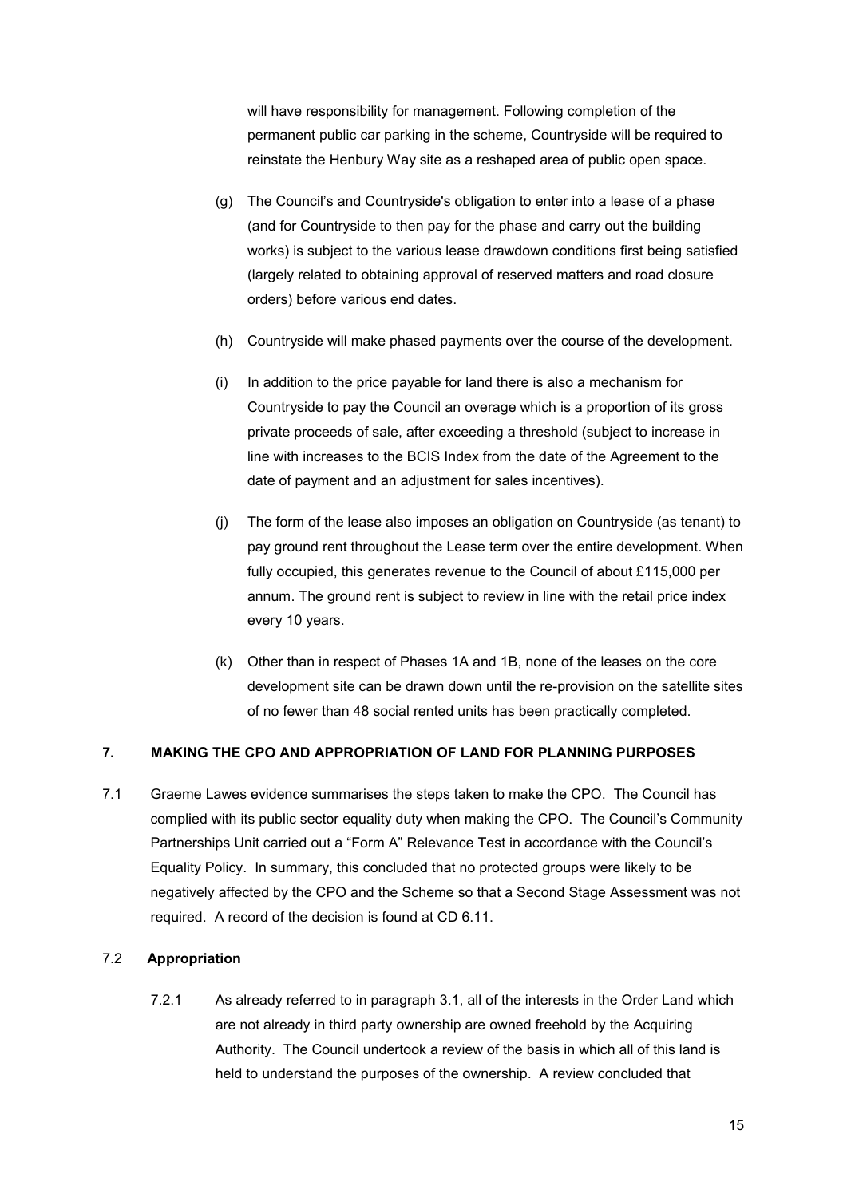will have responsibility for management. Following completion of the permanent public car parking in the scheme, Countryside will be required to reinstate the Henbury Way site as a reshaped area of public open space.

- (g) The Council's and Countryside's obligation to enter into a lease of a phase (and for Countryside to then pay for the phase and carry out the building works) is subject to the various lease drawdown conditions first being satisfied (largely related to obtaining approval of reserved matters and road closure orders) before various end dates.
- (h) Countryside will make phased payments over the course of the development.
- (i) In addition to the price payable for land there is also a mechanism for Countryside to pay the Council an overage which is a proportion of its gross private proceeds of sale, after exceeding a threshold (subject to increase in line with increases to the BCIS Index from the date of the Agreement to the date of payment and an adjustment for sales incentives).
- (j) The form of the lease also imposes an obligation on Countryside (as tenant) to pay ground rent throughout the Lease term over the entire development. When fully occupied, this generates revenue to the Council of about £115,000 per annum. The ground rent is subject to review in line with the retail price index every 10 years.
- (k) Other than in respect of Phases 1A and 1B, none of the leases on the core development site can be drawn down until the re-provision on the satellite sites of no fewer than 48 social rented units has been practically completed.

#### <span id="page-14-0"></span>**7. MAKING THE CPO AND APPROPRIATION OF LAND FOR PLANNING PURPOSES**

7.1 Graeme Lawes evidence summarises the steps taken to make the CPO. The Council has complied with its public sector equality duty when making the CPO. The Council's Community Partnerships Unit carried out a "Form A" Relevance Test in accordance with the Council's Equality Policy. In summary, this concluded that no protected groups were likely to be negatively affected by the CPO and the Scheme so that a Second Stage Assessment was not required. A record of the decision is found at CD 6.11.

#### 7.2 **Appropriation**

7.2.1 As already referred to in paragraph 3.1, all of the interests in the Order Land which are not already in third party ownership are owned freehold by the Acquiring Authority. The Council undertook a review of the basis in which all of this land is held to understand the purposes of the ownership. A review concluded that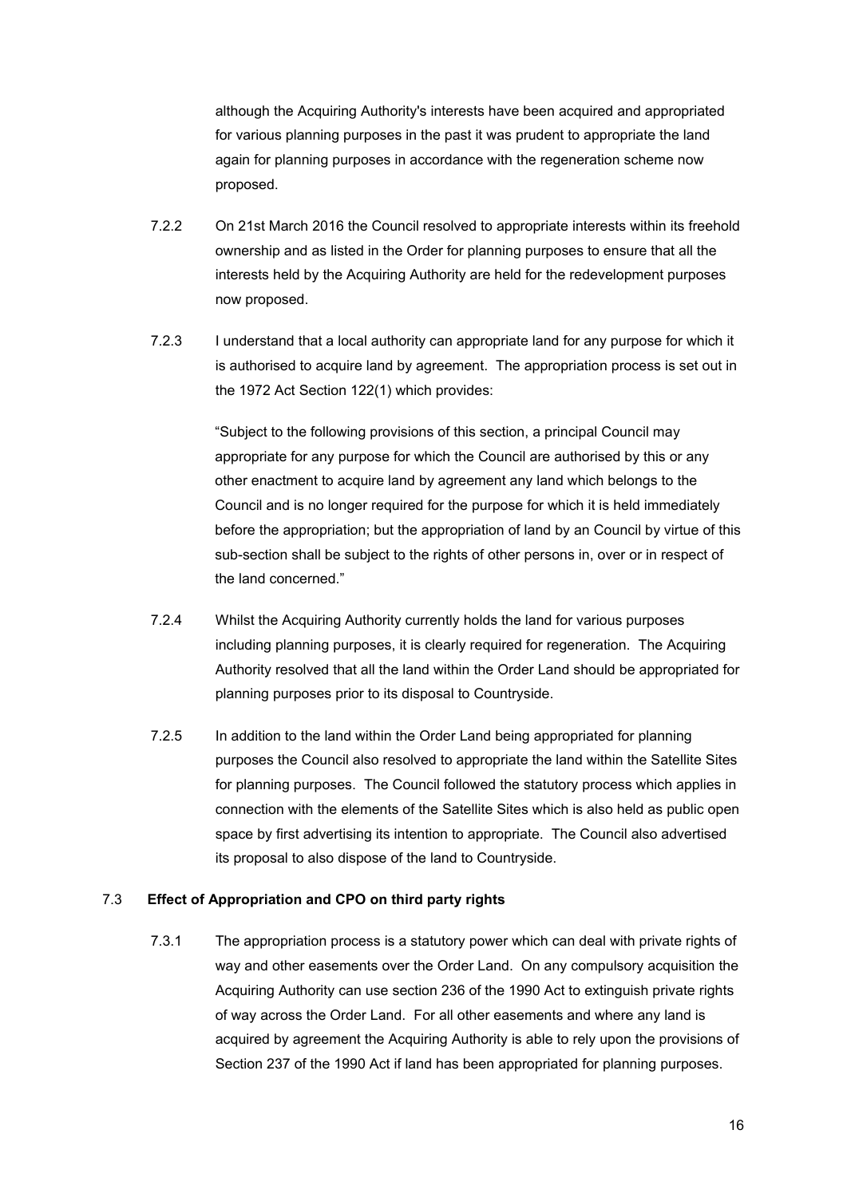although the Acquiring Authority's interests have been acquired and appropriated for various planning purposes in the past it was prudent to appropriate the land again for planning purposes in accordance with the regeneration scheme now proposed.

- 7.2.2 On 21st March 2016 the Council resolved to appropriate interests within its freehold ownership and as listed in the Order for planning purposes to ensure that all the interests held by the Acquiring Authority are held for the redevelopment purposes now proposed.
- 7.2.3 I understand that a local authority can appropriate land for any purpose for which it is authorised to acquire land by agreement. The appropriation process is set out in the 1972 Act Section 122(1) which provides:

"Subject to the following provisions of this section, a principal Council may appropriate for any purpose for which the Council are authorised by this or any other enactment to acquire land by agreement any land which belongs to the Council and is no longer required for the purpose for which it is held immediately before the appropriation; but the appropriation of land by an Council by virtue of this sub-section shall be subject to the rights of other persons in, over or in respect of the land concerned."

- 7.2.4 Whilst the Acquiring Authority currently holds the land for various purposes including planning purposes, it is clearly required for regeneration. The Acquiring Authority resolved that all the land within the Order Land should be appropriated for planning purposes prior to its disposal to Countryside.
- 7.2.5 In addition to the land within the Order Land being appropriated for planning purposes the Council also resolved to appropriate the land within the Satellite Sites for planning purposes. The Council followed the statutory process which applies in connection with the elements of the Satellite Sites which is also held as public open space by first advertising its intention to appropriate. The Council also advertised its proposal to also dispose of the land to Countryside.

#### 7.3 **Effect of Appropriation and CPO on third party rights**

7.3.1 The appropriation process is a statutory power which can deal with private rights of way and other easements over the Order Land. On any compulsory acquisition the Acquiring Authority can use section 236 of the 1990 Act to extinguish private rights of way across the Order Land. For all other easements and where any land is acquired by agreement the Acquiring Authority is able to rely upon the provisions of Section 237 of the 1990 Act if land has been appropriated for planning purposes.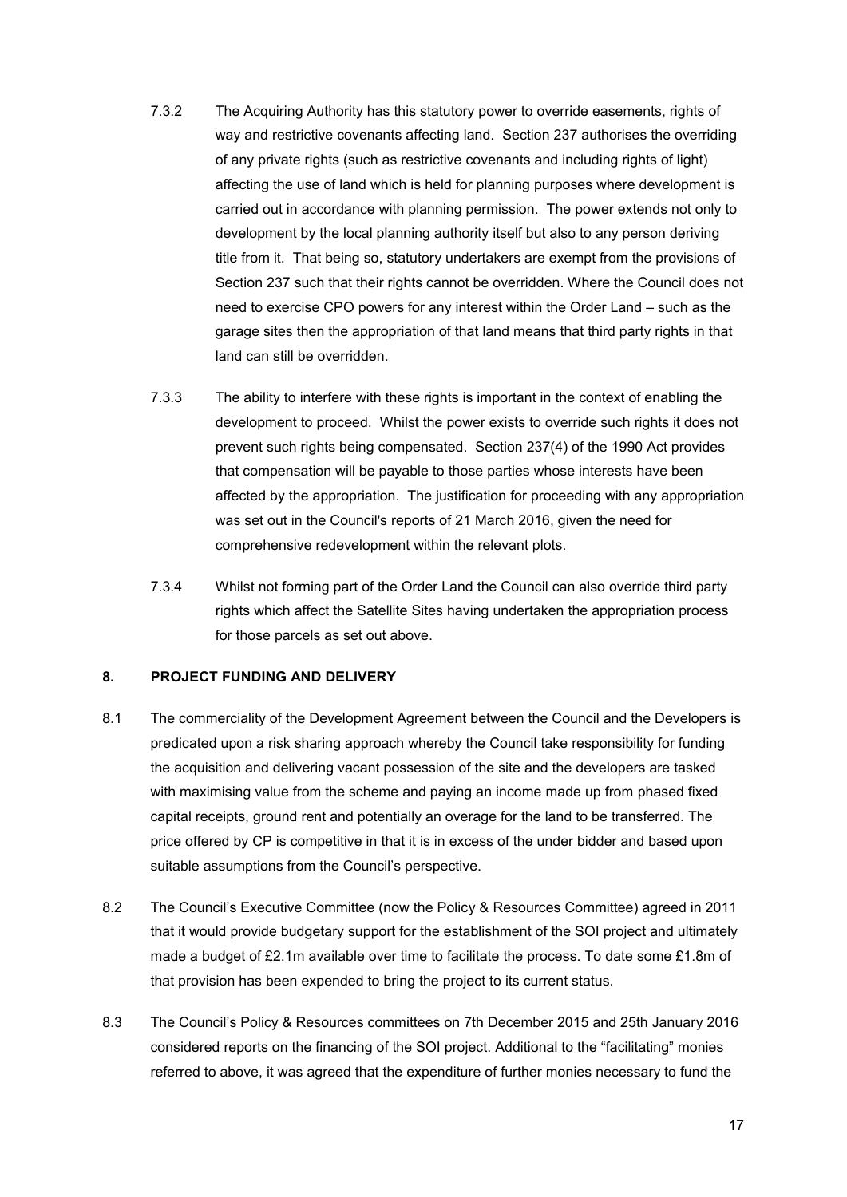- 7.3.2 The Acquiring Authority has this statutory power to override easements, rights of way and restrictive covenants affecting land. Section 237 authorises the overriding of any private rights (such as restrictive covenants and including rights of light) affecting the use of land which is held for planning purposes where development is carried out in accordance with planning permission. The power extends not only to development by the local planning authority itself but also to any person deriving title from it. That being so, statutory undertakers are exempt from the provisions of Section 237 such that their rights cannot be overridden. Where the Council does not need to exercise CPO powers for any interest within the Order Land – such as the garage sites then the appropriation of that land means that third party rights in that land can still be overridden.
- 7.3.3 The ability to interfere with these rights is important in the context of enabling the development to proceed. Whilst the power exists to override such rights it does not prevent such rights being compensated. Section 237(4) of the 1990 Act provides that compensation will be payable to those parties whose interests have been affected by the appropriation. The justification for proceeding with any appropriation was set out in the Council's reports of 21 March 2016, given the need for comprehensive redevelopment within the relevant plots.
- 7.3.4 Whilst not forming part of the Order Land the Council can also override third party rights which affect the Satellite Sites having undertaken the appropriation process for those parcels as set out above.

## <span id="page-16-0"></span>**8. PROJECT FUNDING AND DELIVERY**

- 8.1 The commerciality of the Development Agreement between the Council and the Developers is predicated upon a risk sharing approach whereby the Council take responsibility for funding the acquisition and delivering vacant possession of the site and the developers are tasked with maximising value from the scheme and paying an income made up from phased fixed capital receipts, ground rent and potentially an overage for the land to be transferred. The price offered by CP is competitive in that it is in excess of the under bidder and based upon suitable assumptions from the Council's perspective.
- 8.2 The Council's Executive Committee (now the Policy & Resources Committee) agreed in 2011 that it would provide budgetary support for the establishment of the SOI project and ultimately made a budget of £2.1m available over time to facilitate the process. To date some £1.8m of that provision has been expended to bring the project to its current status.
- 8.3 The Council's Policy & Resources committees on 7th December 2015 and 25th January 2016 considered reports on the financing of the SOI project. Additional to the "facilitating" monies referred to above, it was agreed that the expenditure of further monies necessary to fund the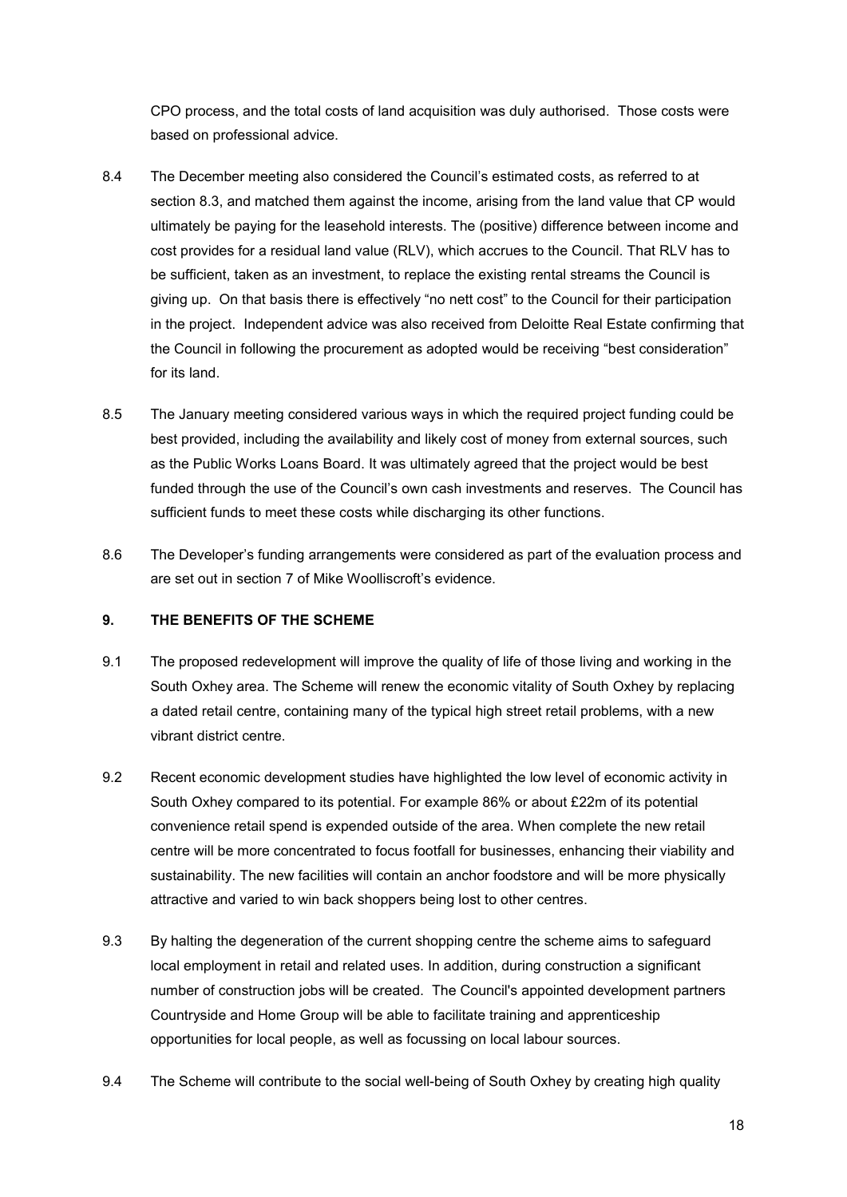CPO process, and the total costs of land acquisition was duly authorised. Those costs were based on professional advice.

- 8.4 The December meeting also considered the Council's estimated costs, as referred to at section 8.3, and matched them against the income, arising from the land value that CP would ultimately be paying for the leasehold interests. The (positive) difference between income and cost provides for a residual land value (RLV), which accrues to the Council. That RLV has to be sufficient, taken as an investment, to replace the existing rental streams the Council is giving up. On that basis there is effectively "no nett cost" to the Council for their participation in the project. Independent advice was also received from Deloitte Real Estate confirming that the Council in following the procurement as adopted would be receiving "best consideration" for its land.
- 8.5 The January meeting considered various ways in which the required project funding could be best provided, including the availability and likely cost of money from external sources, such as the Public Works Loans Board. It was ultimately agreed that the project would be best funded through the use of the Council's own cash investments and reserves. The Council has sufficient funds to meet these costs while discharging its other functions.
- 8.6 The Developer's funding arrangements were considered as part of the evaluation process and are set out in section 7 of Mike Woolliscroft's evidence.

#### <span id="page-17-0"></span>**9. THE BENEFITS OF THE SCHEME**

- 9.1 The proposed redevelopment will improve the quality of life of those living and working in the South Oxhey area. The Scheme will renew the economic vitality of South Oxhey by replacing a dated retail centre, containing many of the typical high street retail problems, with a new vibrant district centre.
- 9.2 Recent economic development studies have highlighted the low level of economic activity in South Oxhey compared to its potential. For example 86% or about £22m of its potential convenience retail spend is expended outside of the area. When complete the new retail centre will be more concentrated to focus footfall for businesses, enhancing their viability and sustainability. The new facilities will contain an anchor foodstore and will be more physically attractive and varied to win back shoppers being lost to other centres.
- 9.3 By halting the degeneration of the current shopping centre the scheme aims to safeguard local employment in retail and related uses. In addition, during construction a significant number of construction jobs will be created. The Council's appointed development partners Countryside and Home Group will be able to facilitate training and apprenticeship opportunities for local people, as well as focussing on local labour sources.
- 9.4 The Scheme will contribute to the social well-being of South Oxhey by creating high quality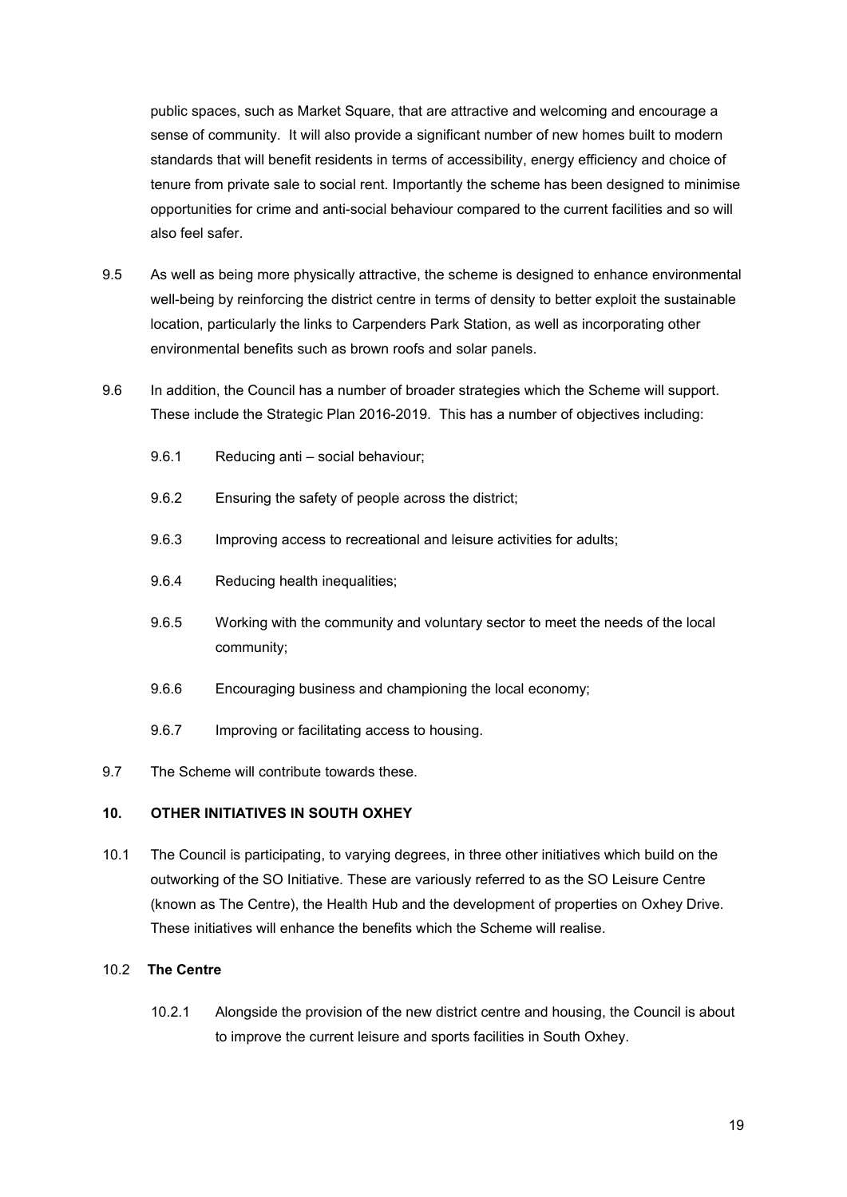public spaces, such as Market Square, that are attractive and welcoming and encourage a sense of community. It will also provide a significant number of new homes built to modern standards that will benefit residents in terms of accessibility, energy efficiency and choice of tenure from private sale to social rent. Importantly the scheme has been designed to minimise opportunities for crime and anti-social behaviour compared to the current facilities and so will also feel safer.

- 9.5 As well as being more physically attractive, the scheme is designed to enhance environmental well-being by reinforcing the district centre in terms of density to better exploit the sustainable location, particularly the links to Carpenders Park Station, as well as incorporating other environmental benefits such as brown roofs and solar panels.
- 9.6 In addition, the Council has a number of broader strategies which the Scheme will support. These include the Strategic Plan 2016-2019. This has a number of objectives including:
	- 9.6.1 Reducing anti social behaviour;
	- 9.6.2 Ensuring the safety of people across the district;
	- 9.6.3 Improving access to recreational and leisure activities for adults;
	- 9.6.4 Reducing health inequalities;
	- 9.6.5 Working with the community and voluntary sector to meet the needs of the local community;
	- 9.6.6 Encouraging business and championing the local economy;
	- 9.6.7 Improving or facilitating access to housing.
- 9.7 The Scheme will contribute towards these.

#### <span id="page-18-0"></span>**10. OTHER INITIATIVES IN SOUTH OXHEY**

10.1 The Council is participating, to varying degrees, in three other initiatives which build on the outworking of the SO Initiative. These are variously referred to as the SO Leisure Centre (known as The Centre), the Health Hub and the development of properties on Oxhey Drive. These initiatives will enhance the benefits which the Scheme will realise.

#### 10.2 **The Centre**

10.2.1 Alongside the provision of the new district centre and housing, the Council is about to improve the current leisure and sports facilities in South Oxhey.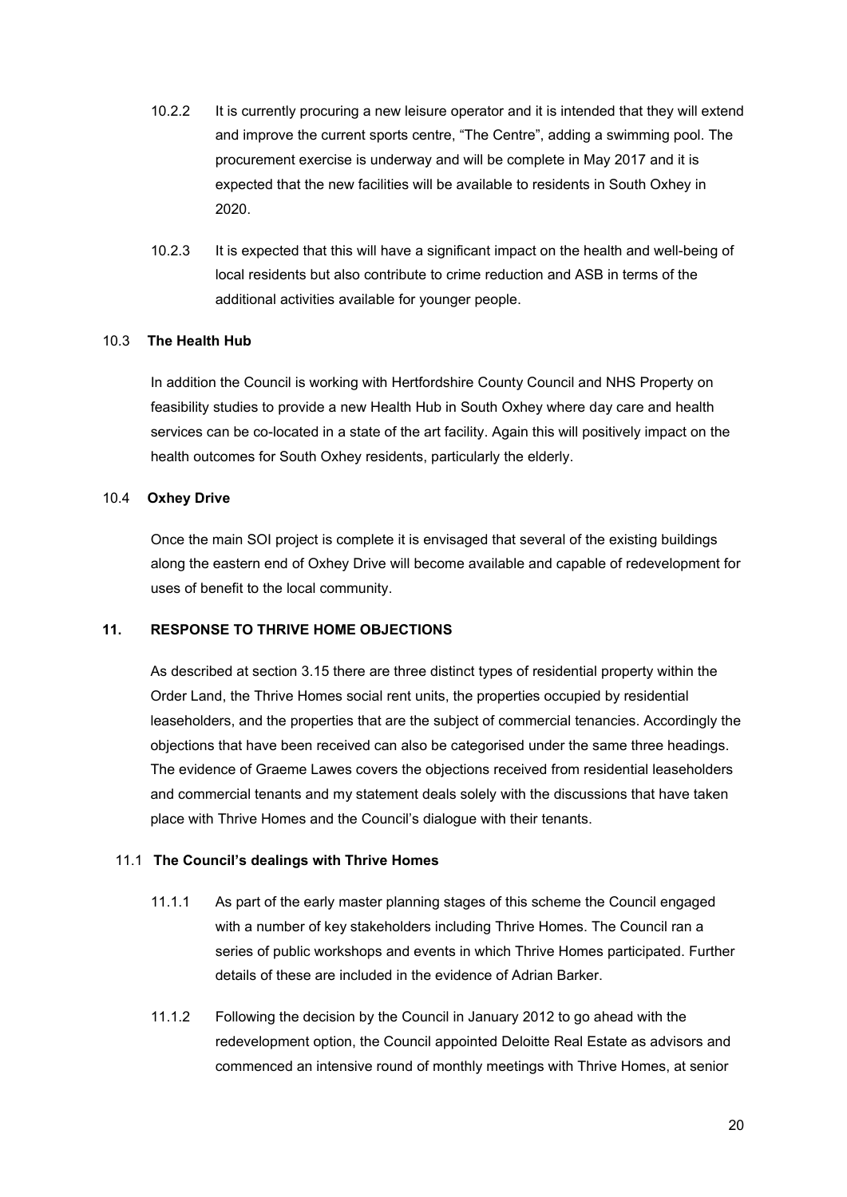- 10.2.2 It is currently procuring a new leisure operator and it is intended that they will extend and improve the current sports centre, "The Centre", adding a swimming pool. The procurement exercise is underway and will be complete in May 2017 and it is expected that the new facilities will be available to residents in South Oxhey in 2020.
- 10.2.3 It is expected that this will have a significant impact on the health and well-being of local residents but also contribute to crime reduction and ASB in terms of the additional activities available for younger people.

#### 10.3 **The Health Hub**

In addition the Council is working with Hertfordshire County Council and NHS Property on feasibility studies to provide a new Health Hub in South Oxhey where day care and health services can be co-located in a state of the art facility. Again this will positively impact on the health outcomes for South Oxhey residents, particularly the elderly.

## 10.4 **Oxhey Drive**

Once the main SOI project is complete it is envisaged that several of the existing buildings along the eastern end of Oxhey Drive will become available and capable of redevelopment for uses of benefit to the local community.

## **11. RESPONSE TO THRIVE HOME OBJECTIONS**

<span id="page-19-0"></span>As described at section 3.15 there are three distinct types of residential property within the Order Land, the Thrive Homes social rent units, the properties occupied by residential leaseholders, and the properties that are the subject of commercial tenancies. Accordingly the objections that have been received can also be categorised under the same three headings. The evidence of Graeme Lawes covers the objections received from residential leaseholders and commercial tenants and my statement deals solely with the discussions that have taken place with Thrive Homes and the Council's dialogue with their tenants.

#### 11.1 **The Council's dealings with Thrive Homes**

- 11.1.1 As part of the early master planning stages of this scheme the Council engaged with a number of key stakeholders including Thrive Homes. The Council ran a series of public workshops and events in which Thrive Homes participated. Further details of these are included in the evidence of Adrian Barker.
- 11.1.2 Following the decision by the Council in January 2012 to go ahead with the redevelopment option, the Council appointed Deloitte Real Estate as advisors and commenced an intensive round of monthly meetings with Thrive Homes, at senior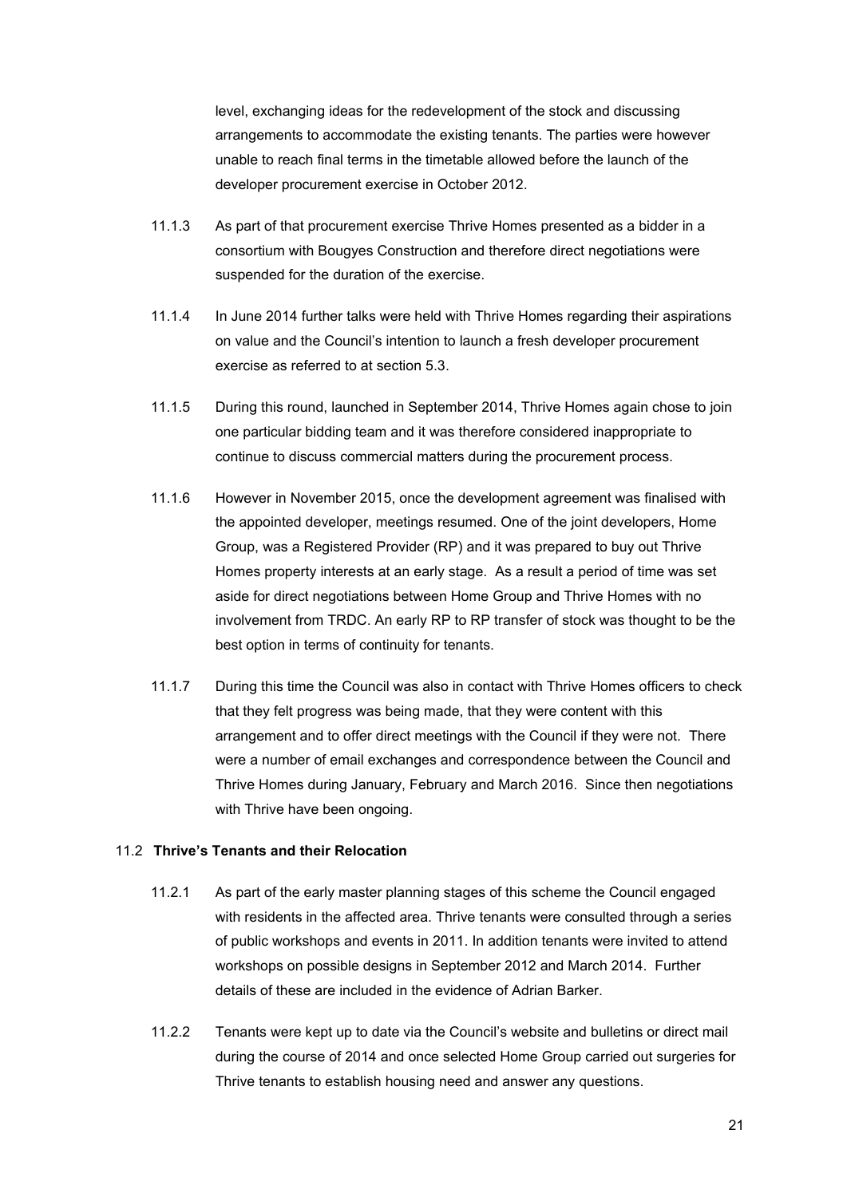level, exchanging ideas for the redevelopment of the stock and discussing arrangements to accommodate the existing tenants. The parties were however unable to reach final terms in the timetable allowed before the launch of the developer procurement exercise in October 2012.

- 11.1.3 As part of that procurement exercise Thrive Homes presented as a bidder in a consortium with Bougyes Construction and therefore direct negotiations were suspended for the duration of the exercise.
- 11.1.4 In June 2014 further talks were held with Thrive Homes regarding their aspirations on value and the Council's intention to launch a fresh developer procurement exercise as referred to at section 5.3.
- 11.1.5 During this round, launched in September 2014, Thrive Homes again chose to join one particular bidding team and it was therefore considered inappropriate to continue to discuss commercial matters during the procurement process.
- 11.1.6 However in November 2015, once the development agreement was finalised with the appointed developer, meetings resumed. One of the joint developers, Home Group, was a Registered Provider (RP) and it was prepared to buy out Thrive Homes property interests at an early stage. As a result a period of time was set aside for direct negotiations between Home Group and Thrive Homes with no involvement from TRDC. An early RP to RP transfer of stock was thought to be the best option in terms of continuity for tenants.
- 11.1.7 During this time the Council was also in contact with Thrive Homes officers to check that they felt progress was being made, that they were content with this arrangement and to offer direct meetings with the Council if they were not. There were a number of email exchanges and correspondence between the Council and Thrive Homes during January, February and March 2016. Since then negotiations with Thrive have been ongoing.

#### 11.2 **Thrive's Tenants and their Relocation**

- 11.2.1 As part of the early master planning stages of this scheme the Council engaged with residents in the affected area. Thrive tenants were consulted through a series of public workshops and events in 2011. In addition tenants were invited to attend workshops on possible designs in September 2012 and March 2014. Further details of these are included in the evidence of Adrian Barker.
- 11.2.2 Tenants were kept up to date via the Council's website and bulletins or direct mail during the course of 2014 and once selected Home Group carried out surgeries for Thrive tenants to establish housing need and answer any questions.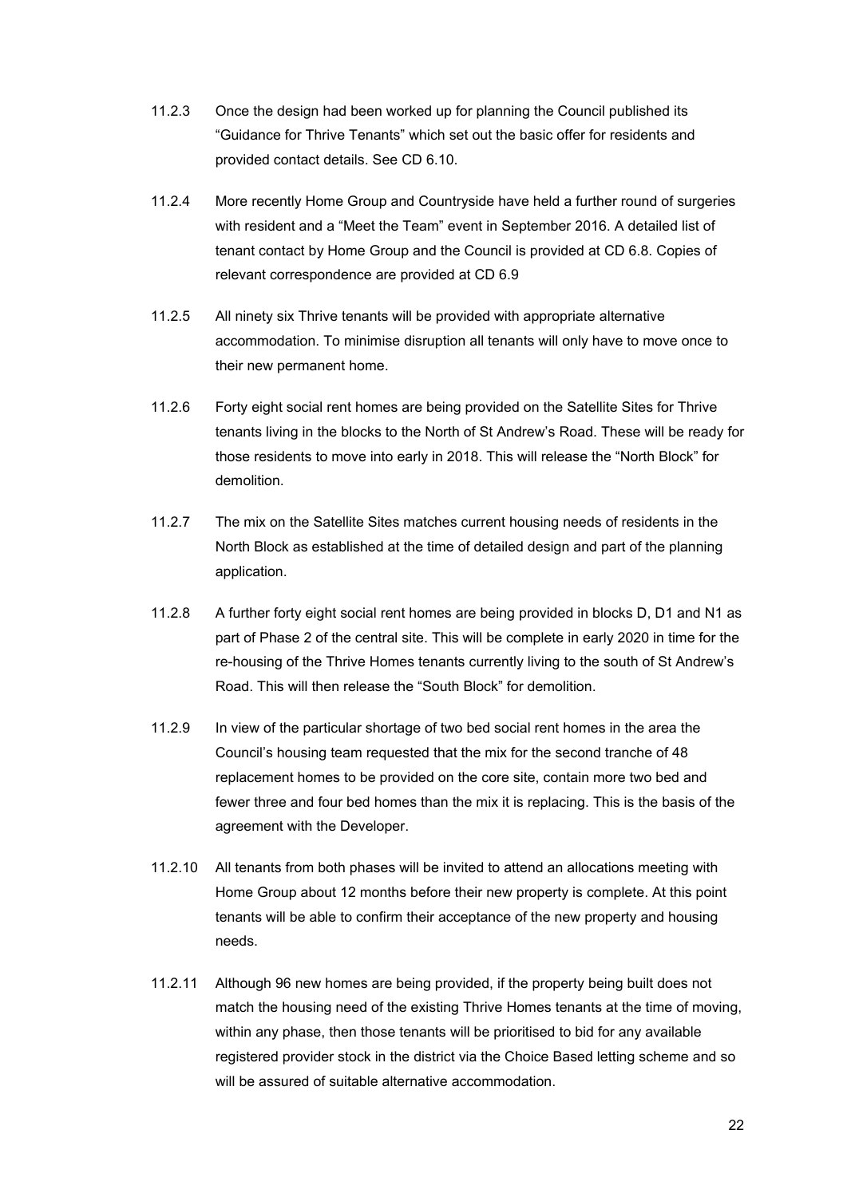- 11.2.3 Once the design had been worked up for planning the Council published its "Guidance for Thrive Tenants" which set out the basic offer for residents and provided contact details. See CD 6.10.
- 11.2.4 More recently Home Group and Countryside have held a further round of surgeries with resident and a "Meet the Team" event in September 2016. A detailed list of tenant contact by Home Group and the Council is provided at CD 6.8. Copies of relevant correspondence are provided at CD 6.9
- 11.2.5 All ninety six Thrive tenants will be provided with appropriate alternative accommodation. To minimise disruption all tenants will only have to move once to their new permanent home.
- 11.2.6 Forty eight social rent homes are being provided on the Satellite Sites for Thrive tenants living in the blocks to the North of St Andrew's Road. These will be ready for those residents to move into early in 2018. This will release the "North Block" for demolition.
- 11.2.7 The mix on the Satellite Sites matches current housing needs of residents in the North Block as established at the time of detailed design and part of the planning application.
- 11.2.8 A further forty eight social rent homes are being provided in blocks D, D1 and N1 as part of Phase 2 of the central site. This will be complete in early 2020 in time for the re-housing of the Thrive Homes tenants currently living to the south of St Andrew's Road. This will then release the "South Block" for demolition.
- 11.2.9 In view of the particular shortage of two bed social rent homes in the area the Council's housing team requested that the mix for the second tranche of 48 replacement homes to be provided on the core site, contain more two bed and fewer three and four bed homes than the mix it is replacing. This is the basis of the agreement with the Developer.
- 11.2.10 All tenants from both phases will be invited to attend an allocations meeting with Home Group about 12 months before their new property is complete. At this point tenants will be able to confirm their acceptance of the new property and housing needs.
- 11.2.11 Although 96 new homes are being provided, if the property being built does not match the housing need of the existing Thrive Homes tenants at the time of moving, within any phase, then those tenants will be prioritised to bid for any available registered provider stock in the district via the Choice Based letting scheme and so will be assured of suitable alternative accommodation.